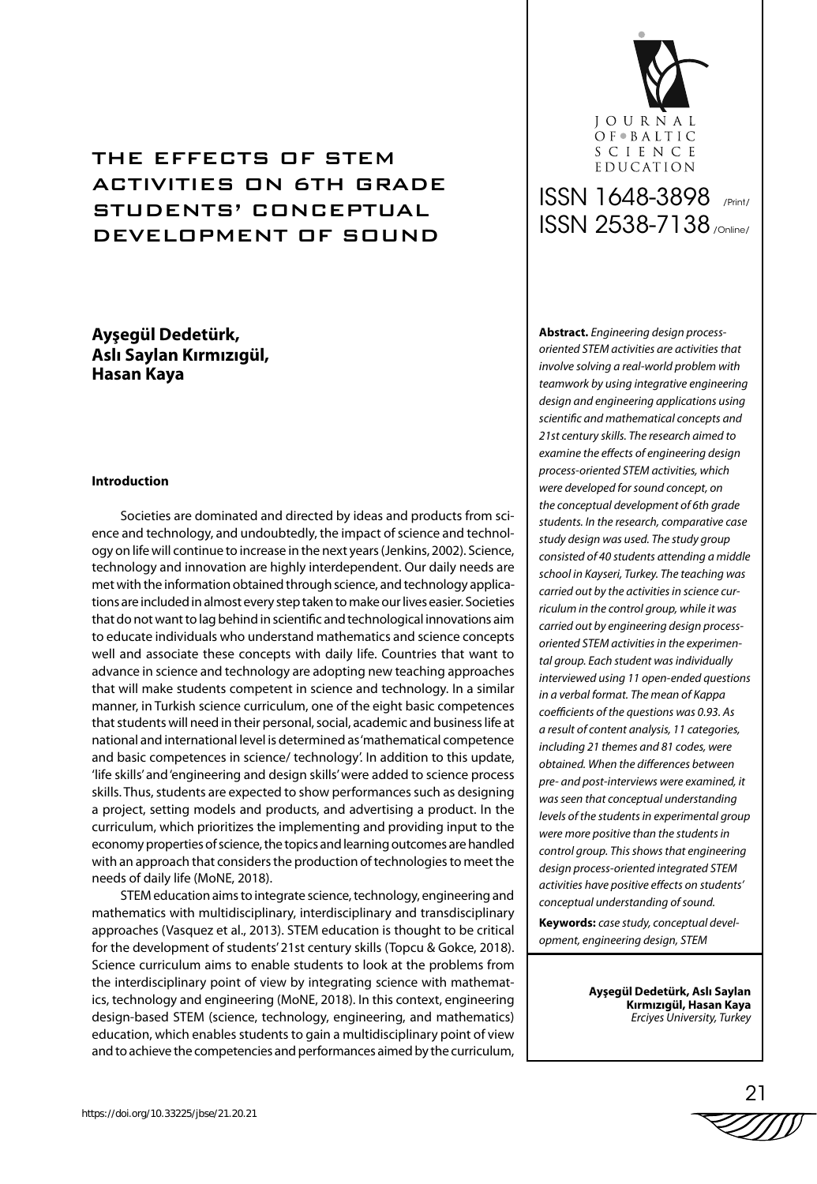# THE EFFECTS OF STEM ACTIVITIES ON 6TH GRADE STUDENTS' CONCEPTUAL DEVELOPMENT OF SOUND

# **Ayşegül Dedetürk, Aslı Saylan Kırmızıgül, Hasan Kaya**

### **Introduction**

Societies are dominated and directed by ideas and products from science and technology, and undoubtedly, the impact of science and technology on life will continue to increase in the next years (Jenkins, 2002). Science, technology and innovation are highly interdependent. Our daily needs are met with the information obtained through science, and technology applications are included in almost every step taken to make our lives easier. Societies that do not want to lag behind in scientific and technological innovations aim to educate individuals who understand mathematics and science concepts well and associate these concepts with daily life. Countries that want to advance in science and technology are adopting new teaching approaches that will make students competent in science and technology. In a similar manner, in Turkish science curriculum, one of the eight basic competences that students will need in their personal, social, academic and business life at national and international level is determined as 'mathematical competence and basic competences in science/ technology'. In addition to this update, 'life skills' and 'engineering and design skills' were added to science process skills. Thus, students are expected to show performances such as designing a project, setting models and products, and advertising a product. In the curriculum, which prioritizes the implementing and providing input to the economy properties of science, the topics and learning outcomes are handled with an approach that considers the production of technologies to meet the needs of daily life (MoNE, 2018).

STEM education aims to integrate science, technology, engineering and mathematics with multidisciplinary, interdisciplinary and transdisciplinary approaches (Vasquez et al., 2013). STEM education is thought to be critical for the development of students' 21st century skills (Topcu & Gokce, 2018). Science curriculum aims to enable students to look at the problems from the interdisciplinary point of view by integrating science with mathematics, technology and engineering (MoNE, 2018). In this context, engineering design-based STEM (science, technology, engineering, and mathematics) education, which enables students to gain a multidisciplinary point of view and to achieve the competencies and performances aimed by the curriculum,



# ISSN 1648-3898 /Print/ ISSN 2538-7138 /Online/

**Abstract.** *Engineering design processoriented STEM activities are activities that involve solving a real-world problem with teamwork by using integrative engineering design and engineering applications using scientific and mathematical concepts and 21st century skills. The research aimed to examine the effects of engineering design process-oriented STEM activities, which were developed for sound concept, on the conceptual development of 6th grade students. In the research, comparative case study design was used. The study group consisted of 40 students attending a middle school in Kayseri, Turkey. The teaching was carried out by the activities in science curriculum in the control group, while it was carried out by engineering design processoriented STEM activities in the experimental group. Each student was individually interviewed using 11 open-ended questions in a verbal format. The mean of Kappa coefficients of the questions was 0.93. As a result of content analysis, 11 categories, including 21 themes and 81 codes, were obtained. When the differences between pre- and post-interviews were examined, it was seen that conceptual understanding levels of the students in experimental group were more positive than the students in control group. This shows that engineering design process-oriented integrated STEM activities have positive effects on students' conceptual understanding of sound.* 

**Keywords:** *case study, conceptual development, engineering design, STEM*

> **Ayşegül Dedetürk, Aslı Saylan Kırmızıgül, Hasan Kaya** *Erciyes University, Turkey*

$$
\stackrel{\text{21}}{\text{2000}}
$$

 $\Omega$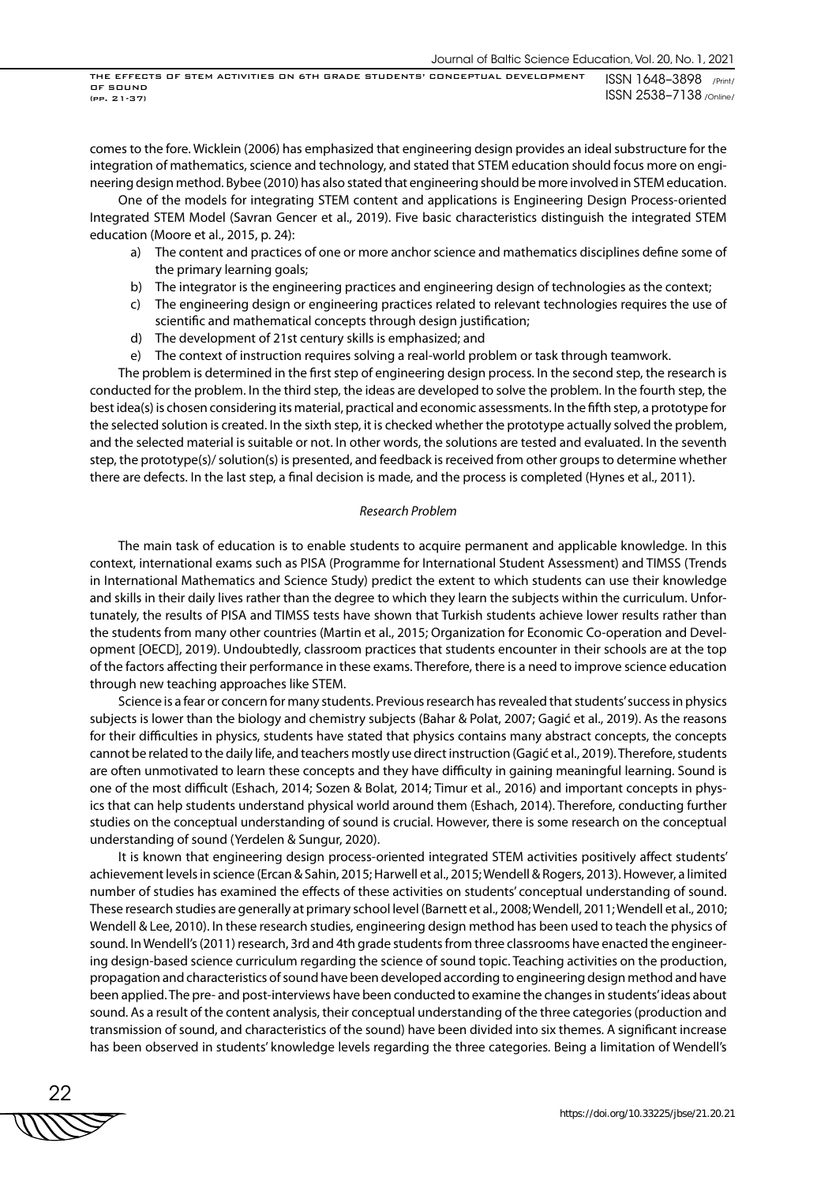comes to the fore. Wicklein (2006) has emphasized that engineering design provides an ideal substructure for the integration of mathematics, science and technology, and stated that STEM education should focus more on engineering design method. Bybee (2010) has also stated that engineering should be more involved in STEM education.

One of the models for integrating STEM content and applications is Engineering Design Process-oriented Integrated STEM Model (Savran Gencer et al., 2019). Five basic characteristics distinguish the integrated STEM education (Moore et al., 2015, p. 24):

- a) The content and practices of one or more anchor science and mathematics disciplines define some of the primary learning goals;
- b) The integrator is the engineering practices and engineering design of technologies as the context;
- c) The engineering design or engineering practices related to relevant technologies requires the use of scientific and mathematical concepts through design justification;
- d) The development of 21st century skills is emphasized; and
- e) The context of instruction requires solving a real-world problem or task through teamwork.

The problem is determined in the first step of engineering design process. In the second step, the research is conducted for the problem. In the third step, the ideas are developed to solve the problem. In the fourth step, the best idea(s) is chosen considering its material, practical and economic assessments. In the fifth step, a prototype for the selected solution is created. In the sixth step, it is checked whether the prototype actually solved the problem, and the selected material is suitable or not. In other words, the solutions are tested and evaluated. In the seventh step, the prototype(s)/ solution(s) is presented, and feedback is received from other groups to determine whether there are defects. In the last step, a final decision is made, and the process is completed (Hynes et al., 2011).

#### *Research Problem*

The main task of education is to enable students to acquire permanent and applicable knowledge. In this context, international exams such as PISA (Programme for International Student Assessment) and TIMSS (Trends in International Mathematics and Science Study) predict the extent to which students can use their knowledge and skills in their daily lives rather than the degree to which they learn the subjects within the curriculum. Unfortunately, the results of PISA and TIMSS tests have shown that Turkish students achieve lower results rather than the students from many other countries (Martin et al., 2015; Organization for Economic Co-operation and Development [OECD], 2019). Undoubtedly, classroom practices that students encounter in their schools are at the top of the factors affecting their performance in these exams. Therefore, there is a need to improve science education through new teaching approaches like STEM.

Science is a fear or concern for many students. Previous research has revealed that students' success in physics subjects is lower than the biology and chemistry subjects (Bahar & Polat, 2007; Gagić et al., 2019). As the reasons for their difficulties in physics, students have stated that physics contains many abstract concepts, the concepts cannot be related to the daily life, and teachers mostly use direct instruction (Gagić et al., 2019). Therefore, students are often unmotivated to learn these concepts and they have difficulty in gaining meaningful learning. Sound is one of the most difficult (Eshach, 2014; Sozen & Bolat, 2014; Timur et al., 2016) and important concepts in physics that can help students understand physical world around them (Eshach, 2014). Therefore, conducting further studies on the conceptual understanding of sound is crucial. However, there is some research on the conceptual understanding of sound (Yerdelen & Sungur, 2020).

It is known that engineering design process-oriented integrated STEM activities positively affect students' achievement levels in science (Ercan & Sahin, 2015; Harwell et al., 2015; Wendell & Rogers, 2013). However, a limited number of studies has examined the effects of these activities on students' conceptual understanding of sound. These research studies are generally at primary school level (Barnett et al., 2008; Wendell, 2011; Wendell et al., 2010; Wendell & Lee, 2010). In these research studies, engineering design method has been used to teach the physics of sound. In Wendell's (2011) research, 3rd and 4th grade students from three classrooms have enacted the engineering design-based science curriculum regarding the science of sound topic. Teaching activities on the production, propagation and characteristics of sound have been developed according to engineering design method and have been applied. The pre- and post-interviews have been conducted to examine the changes in students' ideas about sound. As a result of the content analysis, their conceptual understanding of the three categories (production and transmission of sound, and characteristics of the sound) have been divided into six themes. A significant increase has been observed in students' knowledge levels regarding the three categories. Being a limitation of Wendell's

22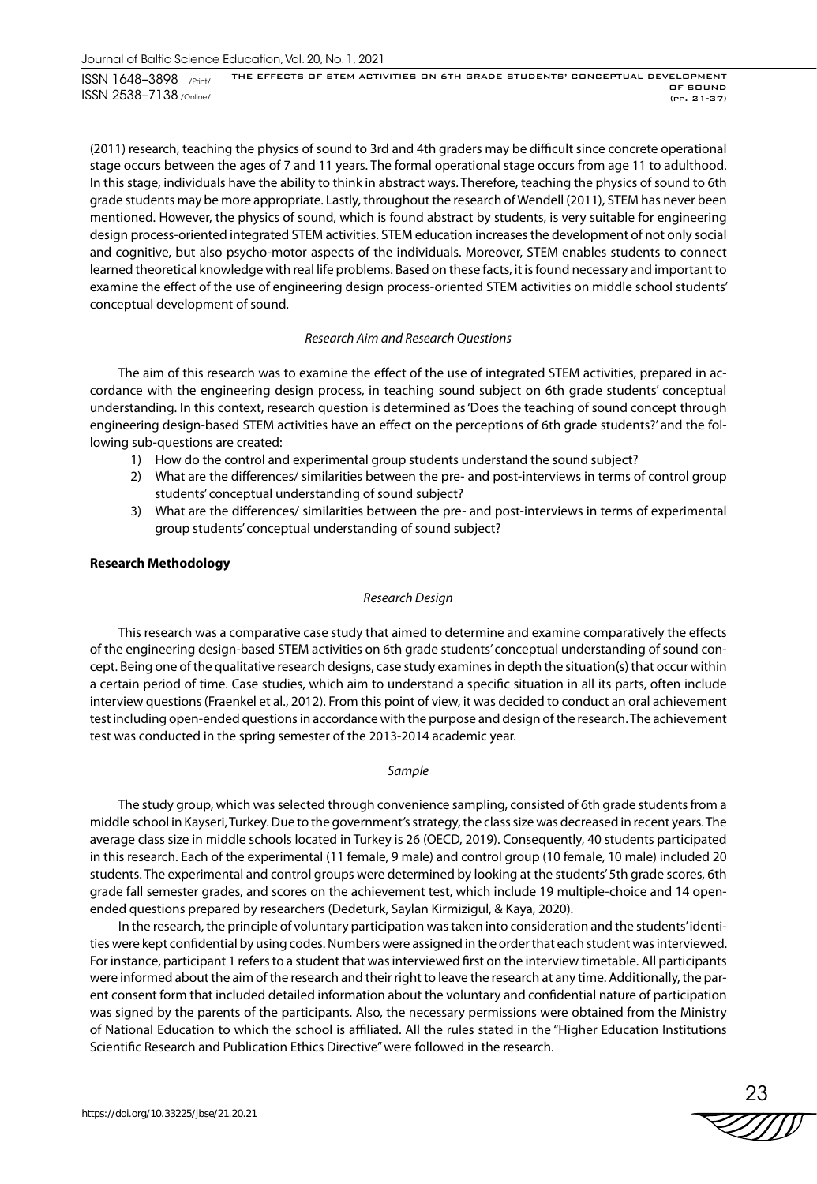(2011) research, teaching the physics of sound to 3rd and 4th graders may be difficult since concrete operational stage occurs between the ages of 7 and 11 years. The formal operational stage occurs from age 11 to adulthood. In this stage, individuals have the ability to think in abstract ways. Therefore, teaching the physics of sound to 6th grade students may be more appropriate. Lastly, throughout the research of Wendell (2011), STEM has never been mentioned. However, the physics of sound, which is found abstract by students, is very suitable for engineering design process-oriented integrated STEM activities. STEM education increases the development of not only social and cognitive, but also psycho-motor aspects of the individuals. Moreover, STEM enables students to connect learned theoretical knowledge with real life problems. Based on these facts, it is found necessary and important to examine the effect of the use of engineering design process-oriented STEM activities on middle school students' conceptual development of sound.

# *Research Aim and Research Questions*

The aim of this research was to examine the effect of the use of integrated STEM activities, prepared in accordance with the engineering design process, in teaching sound subject on 6th grade students' conceptual understanding. In this context, research question is determined as 'Does the teaching of sound concept through engineering design-based STEM activities have an effect on the perceptions of 6th grade students?' and the following sub-questions are created:

- 1) How do the control and experimental group students understand the sound subject?
- 2) What are the differences/ similarities between the pre- and post-interviews in terms of control group students' conceptual understanding of sound subject?
- 3) What are the differences/ similarities between the pre- and post-interviews in terms of experimental group students' conceptual understanding of sound subject?

# **Research Methodology**

## *Research Design*

This research was a comparative case study that aimed to determine and examine comparatively the effects of the engineering design-based STEM activities on 6th grade students' conceptual understanding of sound concept. Being one of the qualitative research designs, case study examines in depth the situation(s) that occur within a certain period of time. Case studies, which aim to understand a specific situation in all its parts, often include interview questions (Fraenkel et al., 2012). From this point of view, it was decided to conduct an oral achievement test including open-ended questions in accordance with the purpose and design of the research. The achievement test was conducted in the spring semester of the 2013-2014 academic year.

# *Sample*

The study group, which was selected through convenience sampling, consisted of 6th grade students from a middle school in Kayseri, Turkey. Due to the government's strategy, the class size was decreased in recent years. The average class size in middle schools located in Turkey is 26 (OECD, 2019). Consequently, 40 students participated in this research. Each of the experimental (11 female, 9 male) and control group (10 female, 10 male) included 20 students. The experimental and control groups were determined by looking at the students' 5th grade scores, 6th grade fall semester grades, and scores on the achievement test, which include 19 multiple-choice and 14 openended questions prepared by researchers (Dedeturk, Saylan Kirmizigul, & Kaya, 2020).

In the research, the principle of voluntary participation was taken into consideration and the students' identities were kept confidential by using codes. Numbers were assigned in the order that each student was interviewed. For instance, participant 1 refers to a student that was interviewed first on the interview timetable. All participants were informed about the aim of the research and their right to leave the research at any time. Additionally, the parent consent form that included detailed information about the voluntary and confidential nature of participation was signed by the parents of the participants. Also, the necessary permissions were obtained from the Ministry of National Education to which the school is affiliated. All the rules stated in the "Higher Education Institutions Scientific Research and Publication Ethics Directive" were followed in the research.

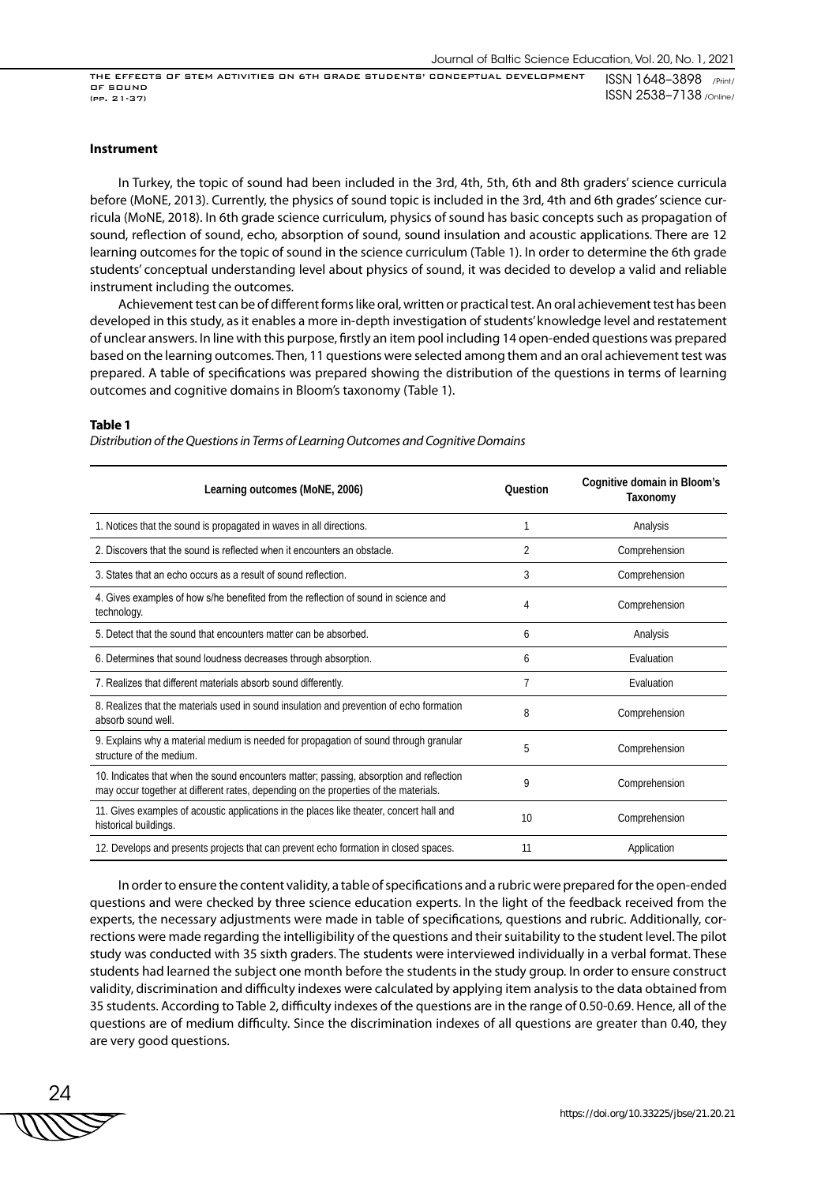#### **Instrument**

In Turkey, the topic of sound had been included in the 3rd, 4th, 5th, 6th and 8th graders' science curricula before (MoNE, 2013). Currently, the physics of sound topic is included in the 3rd, 4th and 6th grades' science curricula (MoNE, 2018). In 6th grade science curriculum, physics of sound has basic concepts such as propagation of sound, reflection of sound, echo, absorption of sound, sound insulation and acoustic applications. There are 12 learning outcomes for the topic of sound in the science curriculum (Table 1). In order to determine the 6th grade students' conceptual understanding level about physics of sound, it was decided to develop a valid and reliable instrument including the outcomes.

Achievement test can be of different forms like oral, written or practical test. An oral achievement test has been developed in this study, as it enables a more in-depth investigation of students' knowledge level and restatement of unclear answers. In line with this purpose, firstly an item pool including 14 open-ended questions was prepared based on the learning outcomes. Then, 11 questions were selected among them and an oral achievement test was prepared. A table of specifications was prepared showing the distribution of the questions in terms of learning outcomes and cognitive domains in Bloom's taxonomy (Table 1).

#### **Table 1**

*Distribution of the Questions in Terms of Learning Outcomes and Cognitive Domains* 

| Learning outcomes (MoNE, 2006)                                                                                                                                                  | Ouestion           | Cognitive domain in Bloom's<br>Taxonomy |  |  |  |
|---------------------------------------------------------------------------------------------------------------------------------------------------------------------------------|--------------------|-----------------------------------------|--|--|--|
| 1. Notices that the sound is propagated in waves in all directions.                                                                                                             |                    | Analysis                                |  |  |  |
| 2. Discovers that the sound is reflected when it encounters an obstacle<br>2<br>Comprehension                                                                                   |                    |                                         |  |  |  |
| 3. States that an echo occurs as a result of sound reflection.                                                                                                                  | 3<br>Comprehension |                                         |  |  |  |
| 4. Gives examples of how s/he benefited from the reflection of sound in science and<br>technology.                                                                              | 4                  | Comprehension                           |  |  |  |
| 5 Detect that the sound that encounters matter can be absorbed                                                                                                                  | 6                  | Analysis                                |  |  |  |
| 6. Determines that sound loudness decreases through absorption.                                                                                                                 | 6                  | Evaluation                              |  |  |  |
| 7. Realizes that different materials absorb sound differently.                                                                                                                  |                    | Evaluation                              |  |  |  |
| 8. Realizes that the materials used in sound insulation and prevention of echo formation<br>absorb sound well                                                                   | 8                  | Comprehension                           |  |  |  |
| 9. Explains why a material medium is needed for propagation of sound through granular<br>structure of the medium.                                                               | 5                  | Comprehension                           |  |  |  |
| 10. Indicates that when the sound encounters matter; passing, absorption and reflection<br>may occur together at different rates, depending on the properties of the materials. | 9                  | Comprehension                           |  |  |  |
| 11. Gives examples of acoustic applications in the places like theater, concert hall and<br>historical buildings.                                                               | 10                 | Comprehension                           |  |  |  |
| 12. Develops and presents projects that can prevent echo formation in closed spaces.                                                                                            | 11                 | Application                             |  |  |  |

In order to ensure the content validity, a table of specifications and a rubric were prepared for the open-ended questions and were checked by three science education experts. In the light of the feedback received from the experts, the necessary adjustments were made in table of specifications, questions and rubric. Additionally, corrections were made regarding the intelligibility of the questions and their suitability to the student level. The pilot study was conducted with 35 sixth graders. The students were interviewed individually in a verbal format. These students had learned the subject one month before the students in the study group. In order to ensure construct validity, discrimination and difficulty indexes were calculated by applying item analysis to the data obtained from 35 students. According to Table 2, difficulty indexes of the questions are in the range of 0.50-0.69. Hence, all of the questions are of medium difficulty. Since the discrimination indexes of all questions are greater than 0.40, they are very good questions.

24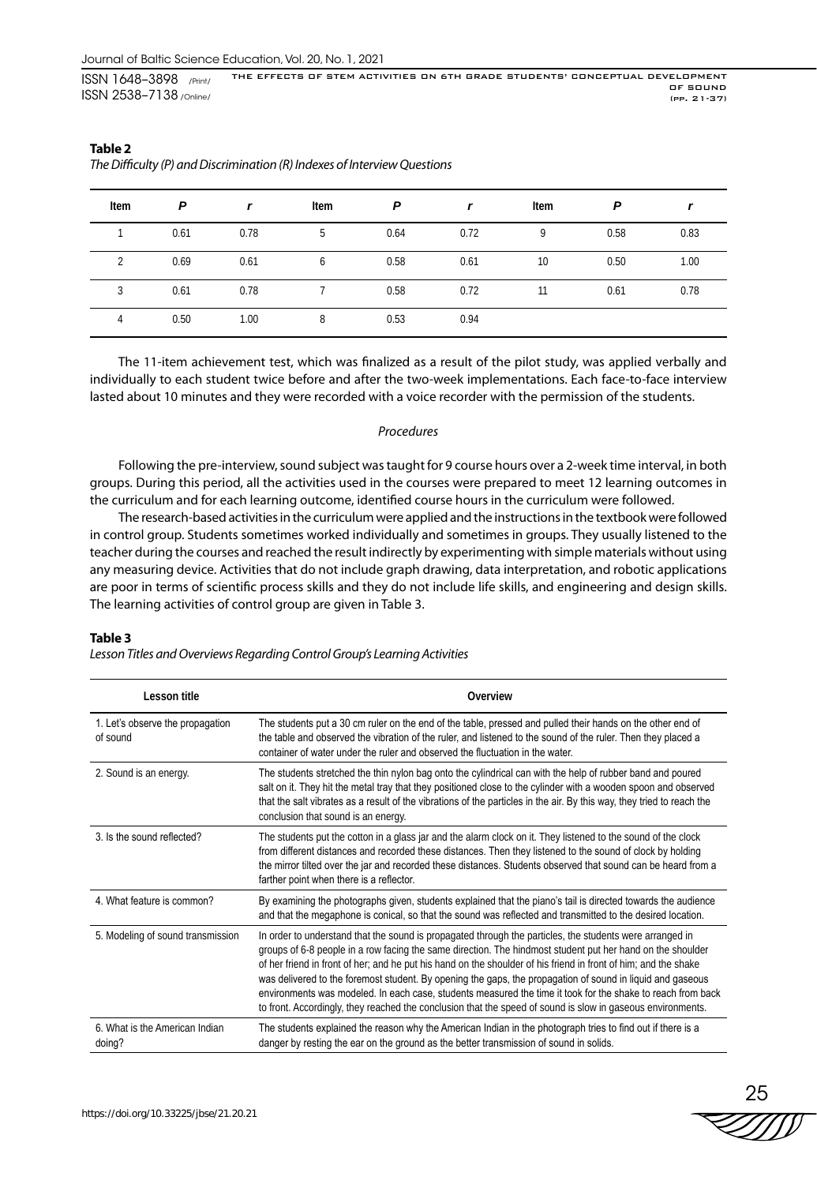| Item | P    |      | Item | P    |      | Item | P    |      |
|------|------|------|------|------|------|------|------|------|
|      | 0.61 | 0.78 | 5    | 0.64 | 0.72 | 9    | 0.58 | 0.83 |
|      | 0.69 | 0.61 | 6    | 0.58 | 0.61 | 10   | 0.50 | 1.00 |
| 3    | 0.61 | 0.78 |      | 0.58 | 0.72 | 11   | 0.61 | 0.78 |
| 4    | 0.50 | 1.00 | 8    | 0.53 | 0.94 |      |      |      |

# **Table 2** *The Difficulty (P) and Discrimination (R) Indexes of Interview Questions*

The 11-item achievement test, which was finalized as a result of the pilot study, was applied verbally and individually to each student twice before and after the two-week implementations. Each face-to-face interview lasted about 10 minutes and they were recorded with a voice recorder with the permission of the students.

## *Procedures*

Following the pre-interview, sound subject was taught for 9 course hours over a 2-week time interval, in both groups. During this period, all the activities used in the courses were prepared to meet 12 learning outcomes in the curriculum and for each learning outcome, identified course hours in the curriculum were followed.

The research-based activities in the curriculum were applied and the instructions in the textbook were followed in control group. Students sometimes worked individually and sometimes in groups. They usually listened to the teacher during the courses and reached the result indirectly by experimenting with simple materials without using any measuring device. Activities that do not include graph drawing, data interpretation, and robotic applications are poor in terms of scientific process skills and they do not include life skills, and engineering and design skills. The learning activities of control group are given in Table 3.

#### **Table 3**

*Lesson Titles and Overviews Regarding Control Group's Learning Activities*

| Lesson title                                 | Overview                                                                                                                                                                                                                                                                                                                                                                                                                                                                                                                                                                                                                                                                              |
|----------------------------------------------|---------------------------------------------------------------------------------------------------------------------------------------------------------------------------------------------------------------------------------------------------------------------------------------------------------------------------------------------------------------------------------------------------------------------------------------------------------------------------------------------------------------------------------------------------------------------------------------------------------------------------------------------------------------------------------------|
| 1. Let's observe the propagation<br>of sound | The students put a 30 cm ruler on the end of the table, pressed and pulled their hands on the other end of<br>the table and observed the vibration of the ruler, and listened to the sound of the ruler. Then they placed a<br>container of water under the ruler and observed the fluctuation in the water.                                                                                                                                                                                                                                                                                                                                                                          |
| 2. Sound is an energy.                       | The students stretched the thin nylon bag onto the cylindrical can with the help of rubber band and poured<br>salt on it. They hit the metal tray that they positioned close to the cylinder with a wooden spoon and observed<br>that the salt vibrates as a result of the vibrations of the particles in the air. By this way, they tried to reach the<br>conclusion that sound is an energy.                                                                                                                                                                                                                                                                                        |
| 3. Is the sound reflected?                   | The students put the cotton in a glass jar and the alarm clock on it. They listened to the sound of the clock<br>from different distances and recorded these distances. Then they listened to the sound of clock by holding<br>the mirror tilted over the jar and recorded these distances. Students observed that sound can be heard from a<br>farther point when there is a reflector.                                                                                                                                                                                                                                                                                              |
| 4. What feature is common?                   | By examining the photographs given, students explained that the piano's tail is directed towards the audience<br>and that the megaphone is conical, so that the sound was reflected and transmitted to the desired location.                                                                                                                                                                                                                                                                                                                                                                                                                                                          |
| 5. Modeling of sound transmission            | In order to understand that the sound is propagated through the particles, the students were arranged in<br>groups of 6-8 people in a row facing the same direction. The hindmost student put her hand on the shoulder<br>of her friend in front of her; and he put his hand on the shoulder of his friend in front of him; and the shake<br>was delivered to the foremost student. By opening the gaps, the propagation of sound in liquid and gaseous<br>environments was modeled. In each case, students measured the time it took for the shake to reach from back<br>to front. Accordingly, they reached the conclusion that the speed of sound is slow in gaseous environments. |
| 6. What is the American Indian<br>doing?     | The students explained the reason why the American Indian in the photograph tries to find out if there is a<br>danger by resting the ear on the ground as the better transmission of sound in solids.                                                                                                                                                                                                                                                                                                                                                                                                                                                                                 |

25<br>ZZIIII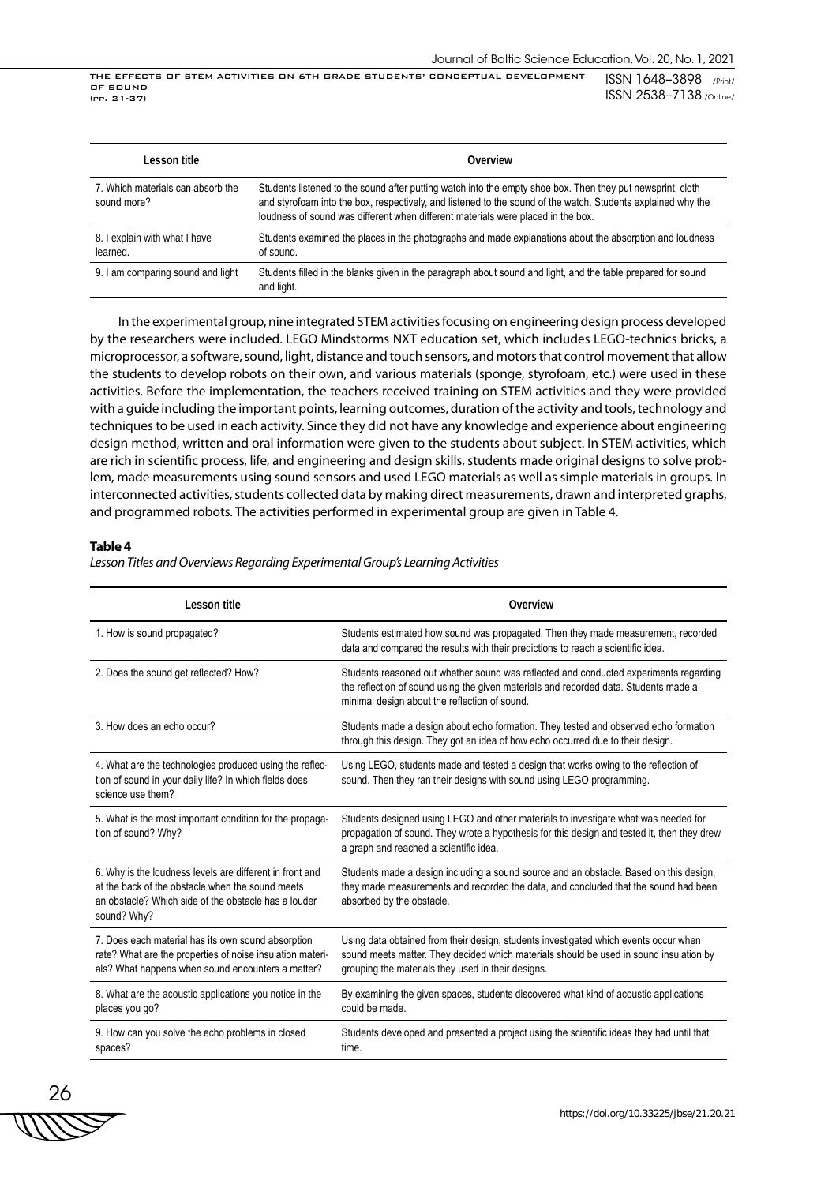| Lesson title                                     | Overview                                                                                                                                                                                                                                                                                                       |
|--------------------------------------------------|----------------------------------------------------------------------------------------------------------------------------------------------------------------------------------------------------------------------------------------------------------------------------------------------------------------|
| 7. Which materials can absorb the<br>sound more? | Students listened to the sound after putting watch into the empty shoe box. Then they put newsprint, cloth<br>and styrofoam into the box, respectively, and listened to the sound of the watch. Students explained why the<br>loudness of sound was different when different materials were placed in the box. |
| 8. I explain with what I have<br>learned.        | Students examined the places in the photographs and made explanations about the absorption and loudness<br>of sound.                                                                                                                                                                                           |
| 9. I am comparing sound and light                | Students filled in the blanks given in the paragraph about sound and light, and the table prepared for sound<br>and light.                                                                                                                                                                                     |

In the experimental group, nine integrated STEM activities focusing on engineering design process developed by the researchers were included. LEGO Mindstorms NXT education set, which includes LEGO-technics bricks, a microprocessor, a software, sound, light, distance and touch sensors, and motors that control movement that allow the students to develop robots on their own, and various materials (sponge, styrofoam, etc.) were used in these activities. Before the implementation, the teachers received training on STEM activities and they were provided with a guide including the important points, learning outcomes, duration of the activity and tools, technology and techniques to be used in each activity. Since they did not have any knowledge and experience about engineering design method, written and oral information were given to the students about subject. In STEM activities, which are rich in scientific process, life, and engineering and design skills, students made original designs to solve problem, made measurements using sound sensors and used LEGO materials as well as simple materials in groups. In interconnected activities, students collected data by making direct measurements, drawn and interpreted graphs, and programmed robots. The activities performed in experimental group are given in Table 4.

## **Table 4**

*Lesson Titles and Overviews Regarding Experimental Group's Learning Activities*

| Lesson title                                                                                                                                                                        | Overview                                                                                                                                                                                                                             |
|-------------------------------------------------------------------------------------------------------------------------------------------------------------------------------------|--------------------------------------------------------------------------------------------------------------------------------------------------------------------------------------------------------------------------------------|
| 1. How is sound propagated?                                                                                                                                                         | Students estimated how sound was propagated. Then they made measurement, recorded<br>data and compared the results with their predictions to reach a scientific idea.                                                                |
| 2. Does the sound get reflected? How?                                                                                                                                               | Students reasoned out whether sound was reflected and conducted experiments regarding<br>the reflection of sound using the given materials and recorded data. Students made a<br>minimal design about the reflection of sound.       |
| 3. How does an echo occur?                                                                                                                                                          | Students made a design about echo formation. They tested and observed echo formation<br>through this design. They got an idea of how echo occurred due to their design.                                                              |
| 4. What are the technologies produced using the reflec-<br>tion of sound in your daily life? In which fields does<br>science use them?                                              | Using LEGO, students made and tested a design that works owing to the reflection of<br>sound. Then they ran their designs with sound using LEGO programming.                                                                         |
| 5. What is the most important condition for the propaga-<br>tion of sound? Why?                                                                                                     | Students designed using LEGO and other materials to investigate what was needed for<br>propagation of sound. They wrote a hypothesis for this design and tested it, then they drew<br>a graph and reached a scientific idea.         |
| 6. Why is the loudness levels are different in front and<br>at the back of the obstacle when the sound meets<br>an obstacle? Which side of the obstacle has a louder<br>sound? Why? | Students made a design including a sound source and an obstacle. Based on this design,<br>they made measurements and recorded the data, and concluded that the sound had been<br>absorbed by the obstacle.                           |
| 7. Does each material has its own sound absorption<br>rate? What are the properties of noise insulation materi-<br>als? What happens when sound encounters a matter?                | Using data obtained from their design, students investigated which events occur when<br>sound meets matter. They decided which materials should be used in sound insulation by<br>grouping the materials they used in their designs. |
| 8. What are the acoustic applications you notice in the<br>places you go?                                                                                                           | By examining the given spaces, students discovered what kind of acoustic applications<br>could be made.                                                                                                                              |
| 9. How can you solve the echo problems in closed<br>spaces?                                                                                                                         | Students developed and presented a project using the scientific ideas they had until that<br>time.                                                                                                                                   |

26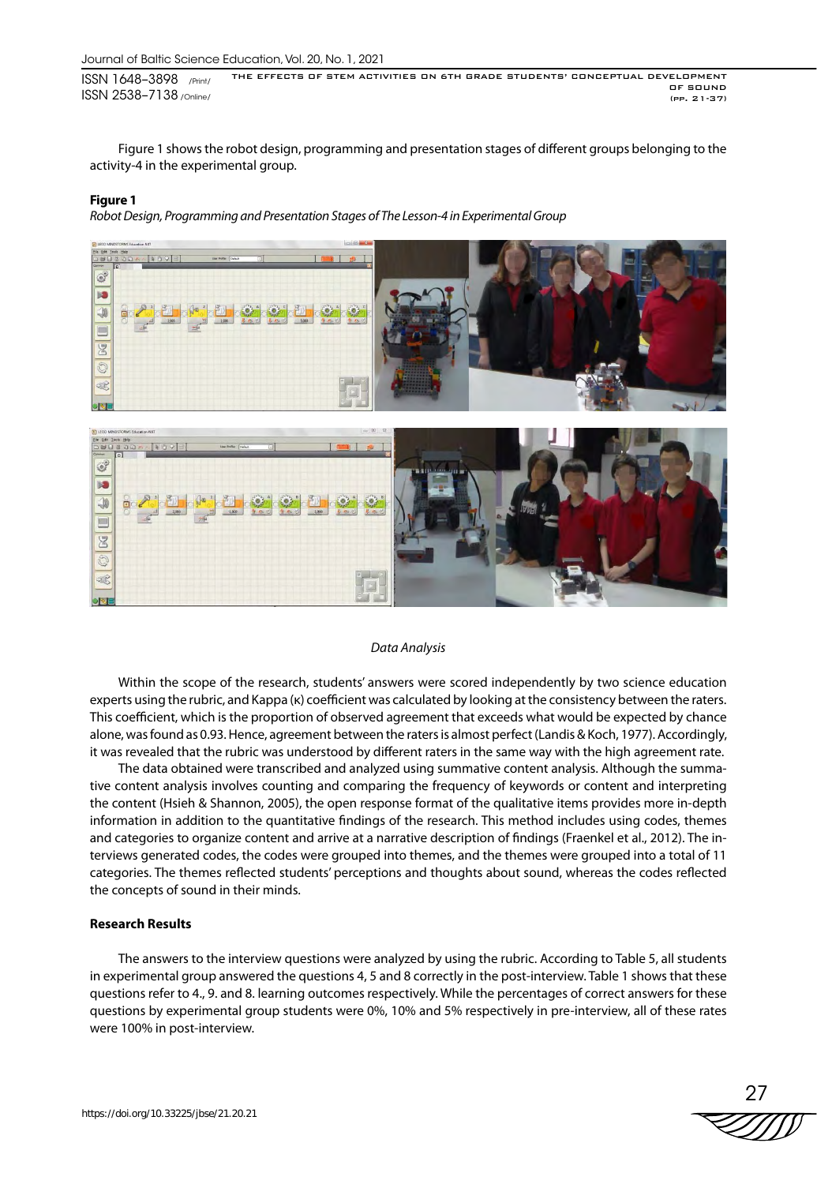Figure 1 shows the robot design, programming and presentation stages of different groups belonging to the activity-4 in the experimental group.

#### **Figure 1**

*Robot Design, Programming and Presentation Stages of The Lesson-4 in Experimental Group*



#### *Data Analysis*

Within the scope of the research, students' answers were scored independently by two science education experts using the rubric, and Kappa (κ) coefficient was calculated by looking at the consistency between the raters. This coefficient, which is the proportion of observed agreement that exceeds what would be expected by chance alone, was found as 0.93. Hence, agreement between the raters is almost perfect (Landis & Koch, 1977). Accordingly, it was revealed that the rubric was understood by different raters in the same way with the high agreement rate.

The data obtained were transcribed and analyzed using summative content analysis. Although the summative content analysis involves counting and comparing the frequency of keywords or content and interpreting the content (Hsieh & Shannon, 2005), the open response format of the qualitative items provides more in-depth information in addition to the quantitative findings of the research. This method includes using codes, themes and categories to organize content and arrive at a narrative description of findings (Fraenkel et al., 2012). The interviews generated codes, the codes were grouped into themes, and the themes were grouped into a total of 11 categories. The themes reflected students' perceptions and thoughts about sound, whereas the codes reflected the concepts of sound in their minds.

## **Research Results**

The answers to the interview questions were analyzed by using the rubric. According to Table 5, all students in experimental group answered the questions 4, 5 and 8 correctly in the post-interview. Table 1 shows that these questions refer to 4., 9. and 8. learning outcomes respectively. While the percentages of correct answers for these questions by experimental group students were 0%, 10% and 5% respectively in pre-interview, all of these rates were 100% in post-interview.

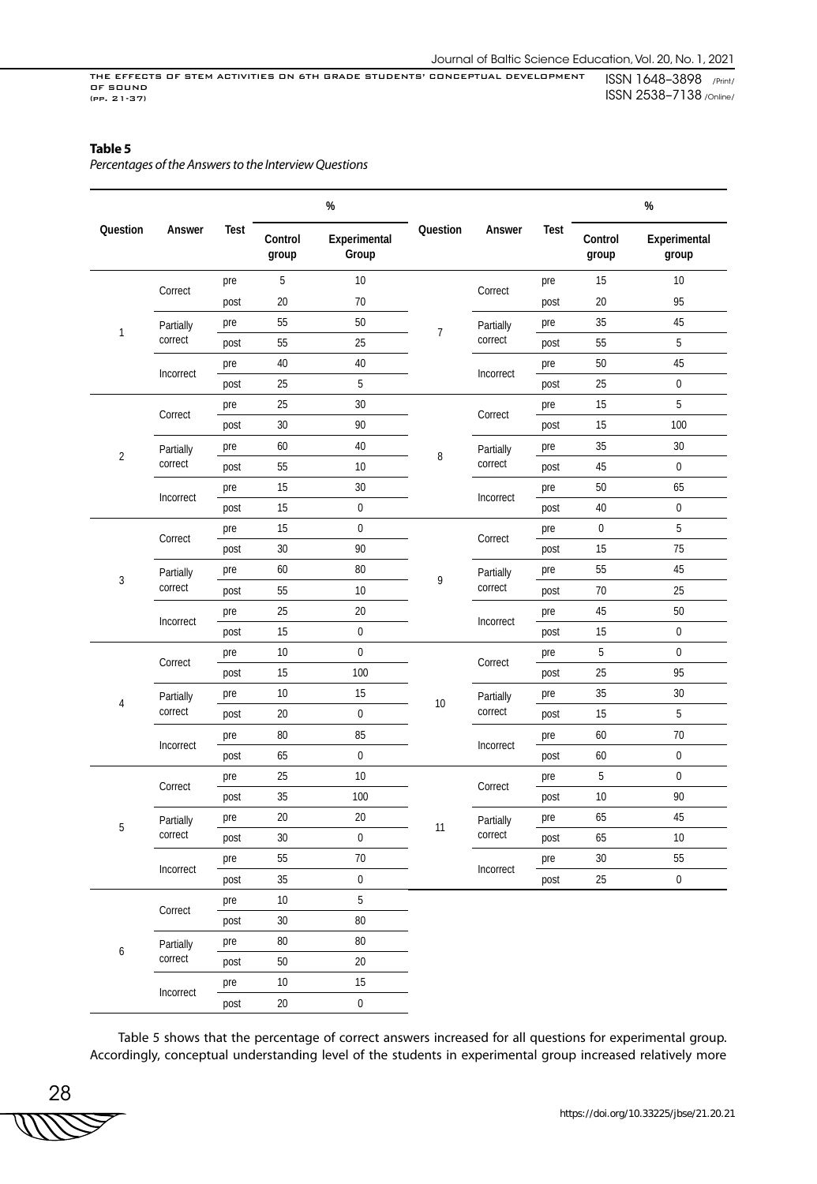# **Table 5**

*Percentages of the Answers to the Interview Questions* 

|                           |                  |           |                                                       | $\%$             |                |                      |                  | $\%$                  |                  |  |
|---------------------------|------------------|-----------|-------------------------------------------------------|------------------|----------------|----------------------|------------------|-----------------------|------------------|--|
| Question                  | Answer           | Test      | Question<br>Control<br>Experimental<br>Group<br>group |                  | Answer         | Test                 | Control<br>group | Experimental<br>group |                  |  |
|                           | Correct          | pre       | 5                                                     | 10               |                |                      | pre              | 15                    | 10               |  |
|                           |                  | post      | 20                                                    | 70               |                | Correct              | post             | 20                    | 95               |  |
| $\mathbf{1}$              | Partially        | pre       | 55                                                    | 50               | $\overline{7}$ | Partially            | pre              | 35                    | 45               |  |
|                           | correct          | post      | 55                                                    | 25               |                | correct              | post             | 55                    | 5                |  |
|                           |                  | pre       | 40                                                    | 40               |                | Incorrect            | pre              | 50                    | 45               |  |
|                           | Incorrect        | post      | 25                                                    | 5                |                |                      | post             | 25                    | $\boldsymbol{0}$ |  |
|                           |                  | pre       | 25                                                    | 30               |                |                      | pre              | 15                    | 5                |  |
|                           | Correct          | post      | 30                                                    | 90               |                | Correct              | post             | 15                    | 100              |  |
|                           | Partially        | pre       | 60                                                    | $40\,$           |                | Partially            | pre              | 35                    | 30               |  |
| $\overline{2}$            | correct          | post      | 55                                                    | 10               | 8              | correct              | post             | 45                    | $\boldsymbol{0}$ |  |
|                           | pre              | 15        | 30                                                    |                  |                | pre                  | 50               | 65                    |                  |  |
| Incorrect                 | post             | 15        | $\boldsymbol{0}$                                      |                  | Incorrect      | post                 | 40               | $\mathbf 0$           |                  |  |
|                           |                  | pre       | 15                                                    | $\boldsymbol{0}$ | 9              |                      | pre              | 0                     | 5                |  |
|                           | Correct          | post      | $30\,$                                                | 90               |                | Correct              | post             | 15                    | 75               |  |
| $\sqrt{3}$                | Partially        | pre       | 60                                                    | 80               |                | Partially<br>correct | pre              | 55                    | 45               |  |
|                           | correct          | post      | 55                                                    | $10$             |                |                      | post             | $70\,$                | 25               |  |
|                           |                  | pre       | 25                                                    | 20               |                |                      | pre              | 45                    | 50               |  |
|                           | Incorrect        | post      | 15                                                    | $\boldsymbol{0}$ |                | Incorrect            | post             | 15                    | $\boldsymbol{0}$ |  |
|                           |                  | pre       | 10                                                    | $\boldsymbol{0}$ |                |                      | pre              | 5                     | $\boldsymbol{0}$ |  |
|                           | Correct          | post      | 15                                                    | 100              |                | Correct              | post             | 25                    | 95               |  |
| Partially<br>4<br>correct |                  | pre       | 10                                                    | 15               |                | Partially            | pre              | 35                    | 30               |  |
|                           | post             | 20        | $\boldsymbol{0}$                                      | 10               | correct        | post                 | 15               | 5                     |                  |  |
|                           |                  | pre       | 80                                                    | 85               |                |                      | pre              | 60                    | 70               |  |
|                           | Incorrect        | post      | 65                                                    | $\pmb{0}$        | Incorrect      |                      | post             | 60                    | $\boldsymbol{0}$ |  |
|                           |                  | pre       | 25                                                    | 10               |                |                      | pre              | 5                     | $\boldsymbol{0}$ |  |
|                           | Correct          | post      | 35                                                    | 100              |                | Correct              | post             | 10                    | 90               |  |
|                           | Partially        | pre       | 20                                                    | 20               |                | Partially            | pre              | 65                    | 45               |  |
| 5                         | $\mbox{correct}$ | post      | 30                                                    | 0                | 11             | $\mbox{correct}$     | post             | 65                    | 10               |  |
|                           |                  | pre       | 55                                                    | 70               |                |                      | pre              | 30                    | 55               |  |
|                           | Incorrect        | post      | 35                                                    | $\boldsymbol{0}$ |                | Incorrect            | post             | 25                    | $\pmb{0}$        |  |
|                           |                  | pre       | 10                                                    | 5                |                |                      |                  |                       |                  |  |
|                           | Correct          | post      | 30                                                    | 80               |                |                      |                  |                       |                  |  |
|                           | Partially        | pre       | 80                                                    | 80               |                |                      |                  |                       |                  |  |
| 6                         | correct          | post      | $50\,$                                                | 20               |                |                      |                  |                       |                  |  |
|                           |                  | pre       | 10                                                    | 15               |                |                      |                  |                       |                  |  |
|                           |                  | Incorrect | post                                                  | 20               | $\pmb{0}$      |                      |                  |                       |                  |  |

Table 5 shows that the percentage of correct answers increased for all questions for experimental group. Accordingly, conceptual understanding level of the students in experimental group increased relatively more

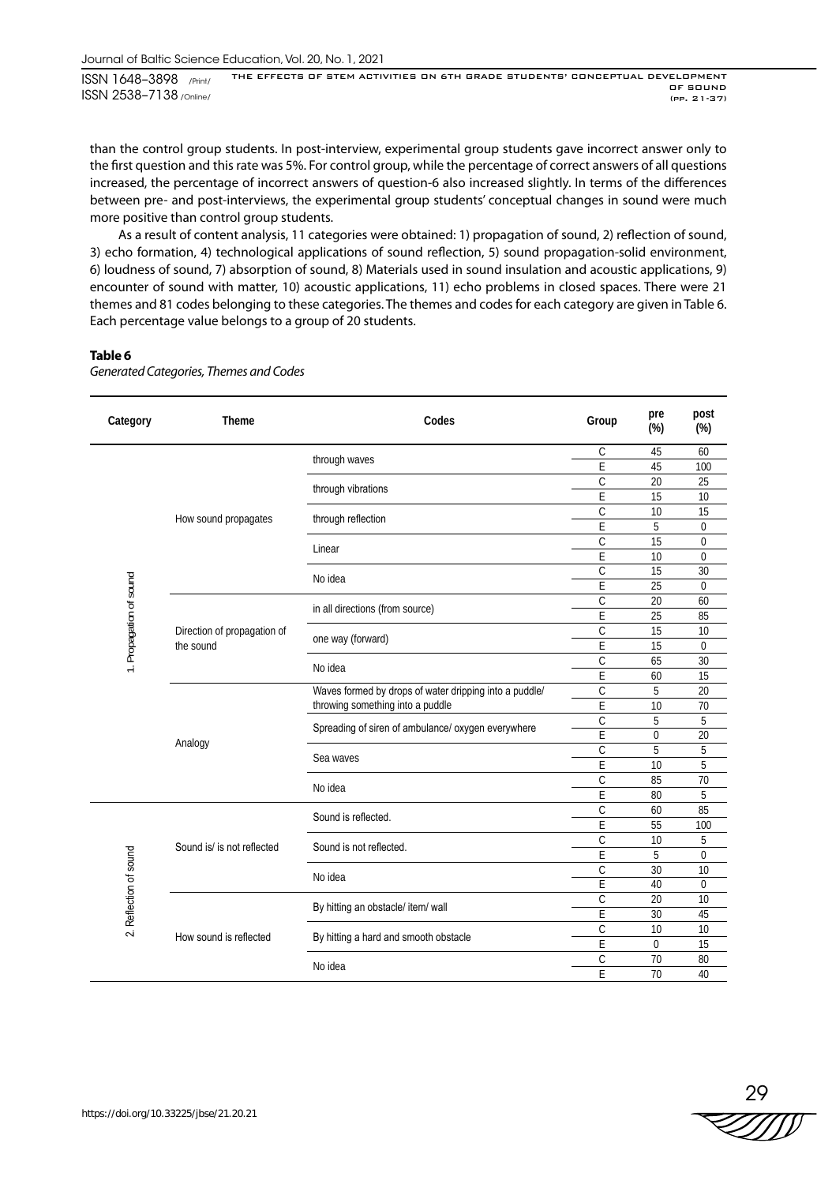than the control group students. In post-interview, experimental group students gave incorrect answer only to the first question and this rate was 5%. For control group, while the percentage of correct answers of all questions increased, the percentage of incorrect answers of question-6 also increased slightly. In terms of the differences between pre- and post-interviews, the experimental group students' conceptual changes in sound were much more positive than control group students.

As a result of content analysis, 11 categories were obtained: 1) propagation of sound, 2) reflection of sound, 3) echo formation, 4) technological applications of sound reflection, 5) sound propagation-solid environment, 6) loudness of sound, 7) absorption of sound, 8) Materials used in sound insulation and acoustic applications, 9) encounter of sound with matter, 10) acoustic applications, 11) echo problems in closed spaces. There were 21 themes and 81 codes belonging to these categories. The themes and codes for each category are given in Table 6. Each percentage value belongs to a group of 20 students.

# **Table 6**

*Generated Categories, Themes and Codes*

| C<br>45<br>60<br>through waves<br>E<br>45<br>100<br>$\mathcal{C}$<br>25<br>20<br>through vibrations<br>E<br>15<br>10<br>С<br>15<br>10<br>How sound propagates<br>through reflection<br>5<br>E<br>0<br>С<br>15<br>0<br>Linear<br>E<br>10<br>$\Omega$<br>C<br>15<br>30<br>1. Propagation of sound<br>No idea<br>E<br>25<br>$\Omega$<br>C<br>20<br>60<br>in all directions (from source)<br>E<br>85<br>25<br>$\mathcal{C}$<br>15<br>10<br>Direction of propagation of<br>one way (forward)<br>the sound<br>E<br>15<br>$\overline{0}$<br>C<br>65<br>30<br>No idea<br>E<br>15<br>60<br>Waves formed by drops of water dripping into a puddle/<br>$\mathcal{C}$<br>5<br>20<br>throwing something into a puddle<br>E<br>10<br>70<br>C<br>5<br>5<br>Spreading of siren of ambulance/ oxygen everywhere<br>E<br>$\overline{0}$<br>20<br>Analogy<br>5<br>C<br>5<br>Sea waves<br>E<br>10<br>5<br>$\mathcal{C}$<br>85<br>70<br>No idea<br>E<br>5<br>80<br>C<br>85<br>60<br>Sound is reflected.<br>E<br>55<br>100<br>C<br>10<br>5<br>Sound is/ is not reflected<br>Sound is not reflected.<br>2. Reflection of sound<br>E<br>5<br>0<br>$\overline{C}$<br>30<br>10<br>No idea<br>E<br>40<br>$\overline{0}$<br>$\mathsf{C}$<br>10<br>20<br>By hitting an obstacle/ item/ wall<br>E<br>45<br>30<br>С<br>10<br>10<br>How sound is reflected<br>By hitting a hard and smooth obstacle<br>E<br>0<br>15<br>С<br>70<br>80<br>No idea<br>E<br>70<br>40 | Category | <b>Theme</b> | Codes | Group | pre<br>(%) | post<br>$(\%)$ |
|----------------------------------------------------------------------------------------------------------------------------------------------------------------------------------------------------------------------------------------------------------------------------------------------------------------------------------------------------------------------------------------------------------------------------------------------------------------------------------------------------------------------------------------------------------------------------------------------------------------------------------------------------------------------------------------------------------------------------------------------------------------------------------------------------------------------------------------------------------------------------------------------------------------------------------------------------------------------------------------------------------------------------------------------------------------------------------------------------------------------------------------------------------------------------------------------------------------------------------------------------------------------------------------------------------------------------------------------------------------------------------------------------------------------------------|----------|--------------|-------|-------|------------|----------------|
|                                                                                                                                                                                                                                                                                                                                                                                                                                                                                                                                                                                                                                                                                                                                                                                                                                                                                                                                                                                                                                                                                                                                                                                                                                                                                                                                                                                                                                  |          |              |       |       |            |                |
|                                                                                                                                                                                                                                                                                                                                                                                                                                                                                                                                                                                                                                                                                                                                                                                                                                                                                                                                                                                                                                                                                                                                                                                                                                                                                                                                                                                                                                  |          |              |       |       |            |                |
|                                                                                                                                                                                                                                                                                                                                                                                                                                                                                                                                                                                                                                                                                                                                                                                                                                                                                                                                                                                                                                                                                                                                                                                                                                                                                                                                                                                                                                  |          |              |       |       |            |                |
|                                                                                                                                                                                                                                                                                                                                                                                                                                                                                                                                                                                                                                                                                                                                                                                                                                                                                                                                                                                                                                                                                                                                                                                                                                                                                                                                                                                                                                  |          |              |       |       |            |                |
|                                                                                                                                                                                                                                                                                                                                                                                                                                                                                                                                                                                                                                                                                                                                                                                                                                                                                                                                                                                                                                                                                                                                                                                                                                                                                                                                                                                                                                  |          |              |       |       |            |                |
|                                                                                                                                                                                                                                                                                                                                                                                                                                                                                                                                                                                                                                                                                                                                                                                                                                                                                                                                                                                                                                                                                                                                                                                                                                                                                                                                                                                                                                  |          |              |       |       |            |                |
|                                                                                                                                                                                                                                                                                                                                                                                                                                                                                                                                                                                                                                                                                                                                                                                                                                                                                                                                                                                                                                                                                                                                                                                                                                                                                                                                                                                                                                  |          |              |       |       |            |                |
|                                                                                                                                                                                                                                                                                                                                                                                                                                                                                                                                                                                                                                                                                                                                                                                                                                                                                                                                                                                                                                                                                                                                                                                                                                                                                                                                                                                                                                  |          |              |       |       |            |                |
|                                                                                                                                                                                                                                                                                                                                                                                                                                                                                                                                                                                                                                                                                                                                                                                                                                                                                                                                                                                                                                                                                                                                                                                                                                                                                                                                                                                                                                  |          |              |       |       |            |                |
|                                                                                                                                                                                                                                                                                                                                                                                                                                                                                                                                                                                                                                                                                                                                                                                                                                                                                                                                                                                                                                                                                                                                                                                                                                                                                                                                                                                                                                  |          |              |       |       |            |                |
|                                                                                                                                                                                                                                                                                                                                                                                                                                                                                                                                                                                                                                                                                                                                                                                                                                                                                                                                                                                                                                                                                                                                                                                                                                                                                                                                                                                                                                  |          |              |       |       |            |                |
|                                                                                                                                                                                                                                                                                                                                                                                                                                                                                                                                                                                                                                                                                                                                                                                                                                                                                                                                                                                                                                                                                                                                                                                                                                                                                                                                                                                                                                  |          |              |       |       |            |                |
|                                                                                                                                                                                                                                                                                                                                                                                                                                                                                                                                                                                                                                                                                                                                                                                                                                                                                                                                                                                                                                                                                                                                                                                                                                                                                                                                                                                                                                  |          |              |       |       |            |                |
|                                                                                                                                                                                                                                                                                                                                                                                                                                                                                                                                                                                                                                                                                                                                                                                                                                                                                                                                                                                                                                                                                                                                                                                                                                                                                                                                                                                                                                  |          |              |       |       |            |                |
|                                                                                                                                                                                                                                                                                                                                                                                                                                                                                                                                                                                                                                                                                                                                                                                                                                                                                                                                                                                                                                                                                                                                                                                                                                                                                                                                                                                                                                  |          |              |       |       |            |                |
|                                                                                                                                                                                                                                                                                                                                                                                                                                                                                                                                                                                                                                                                                                                                                                                                                                                                                                                                                                                                                                                                                                                                                                                                                                                                                                                                                                                                                                  |          |              |       |       |            |                |
|                                                                                                                                                                                                                                                                                                                                                                                                                                                                                                                                                                                                                                                                                                                                                                                                                                                                                                                                                                                                                                                                                                                                                                                                                                                                                                                                                                                                                                  |          |              |       |       |            |                |
|                                                                                                                                                                                                                                                                                                                                                                                                                                                                                                                                                                                                                                                                                                                                                                                                                                                                                                                                                                                                                                                                                                                                                                                                                                                                                                                                                                                                                                  |          |              |       |       |            |                |
|                                                                                                                                                                                                                                                                                                                                                                                                                                                                                                                                                                                                                                                                                                                                                                                                                                                                                                                                                                                                                                                                                                                                                                                                                                                                                                                                                                                                                                  |          |              |       |       |            |                |
|                                                                                                                                                                                                                                                                                                                                                                                                                                                                                                                                                                                                                                                                                                                                                                                                                                                                                                                                                                                                                                                                                                                                                                                                                                                                                                                                                                                                                                  |          |              |       |       |            |                |
|                                                                                                                                                                                                                                                                                                                                                                                                                                                                                                                                                                                                                                                                                                                                                                                                                                                                                                                                                                                                                                                                                                                                                                                                                                                                                                                                                                                                                                  |          |              |       |       |            |                |
|                                                                                                                                                                                                                                                                                                                                                                                                                                                                                                                                                                                                                                                                                                                                                                                                                                                                                                                                                                                                                                                                                                                                                                                                                                                                                                                                                                                                                                  |          |              |       |       |            |                |
|                                                                                                                                                                                                                                                                                                                                                                                                                                                                                                                                                                                                                                                                                                                                                                                                                                                                                                                                                                                                                                                                                                                                                                                                                                                                                                                                                                                                                                  |          |              |       |       |            |                |
|                                                                                                                                                                                                                                                                                                                                                                                                                                                                                                                                                                                                                                                                                                                                                                                                                                                                                                                                                                                                                                                                                                                                                                                                                                                                                                                                                                                                                                  |          |              |       |       |            |                |
|                                                                                                                                                                                                                                                                                                                                                                                                                                                                                                                                                                                                                                                                                                                                                                                                                                                                                                                                                                                                                                                                                                                                                                                                                                                                                                                                                                                                                                  |          |              |       |       |            |                |
|                                                                                                                                                                                                                                                                                                                                                                                                                                                                                                                                                                                                                                                                                                                                                                                                                                                                                                                                                                                                                                                                                                                                                                                                                                                                                                                                                                                                                                  |          |              |       |       |            |                |
|                                                                                                                                                                                                                                                                                                                                                                                                                                                                                                                                                                                                                                                                                                                                                                                                                                                                                                                                                                                                                                                                                                                                                                                                                                                                                                                                                                                                                                  |          |              |       |       |            |                |
|                                                                                                                                                                                                                                                                                                                                                                                                                                                                                                                                                                                                                                                                                                                                                                                                                                                                                                                                                                                                                                                                                                                                                                                                                                                                                                                                                                                                                                  |          |              |       |       |            |                |
|                                                                                                                                                                                                                                                                                                                                                                                                                                                                                                                                                                                                                                                                                                                                                                                                                                                                                                                                                                                                                                                                                                                                                                                                                                                                                                                                                                                                                                  |          |              |       |       |            |                |
|                                                                                                                                                                                                                                                                                                                                                                                                                                                                                                                                                                                                                                                                                                                                                                                                                                                                                                                                                                                                                                                                                                                                                                                                                                                                                                                                                                                                                                  |          |              |       |       |            |                |
|                                                                                                                                                                                                                                                                                                                                                                                                                                                                                                                                                                                                                                                                                                                                                                                                                                                                                                                                                                                                                                                                                                                                                                                                                                                                                                                                                                                                                                  |          |              |       |       |            |                |
|                                                                                                                                                                                                                                                                                                                                                                                                                                                                                                                                                                                                                                                                                                                                                                                                                                                                                                                                                                                                                                                                                                                                                                                                                                                                                                                                                                                                                                  |          |              |       |       |            |                |
|                                                                                                                                                                                                                                                                                                                                                                                                                                                                                                                                                                                                                                                                                                                                                                                                                                                                                                                                                                                                                                                                                                                                                                                                                                                                                                                                                                                                                                  |          |              |       |       |            |                |
|                                                                                                                                                                                                                                                                                                                                                                                                                                                                                                                                                                                                                                                                                                                                                                                                                                                                                                                                                                                                                                                                                                                                                                                                                                                                                                                                                                                                                                  |          |              |       |       |            |                |
|                                                                                                                                                                                                                                                                                                                                                                                                                                                                                                                                                                                                                                                                                                                                                                                                                                                                                                                                                                                                                                                                                                                                                                                                                                                                                                                                                                                                                                  |          |              |       |       |            |                |
|                                                                                                                                                                                                                                                                                                                                                                                                                                                                                                                                                                                                                                                                                                                                                                                                                                                                                                                                                                                                                                                                                                                                                                                                                                                                                                                                                                                                                                  |          |              |       |       |            |                |

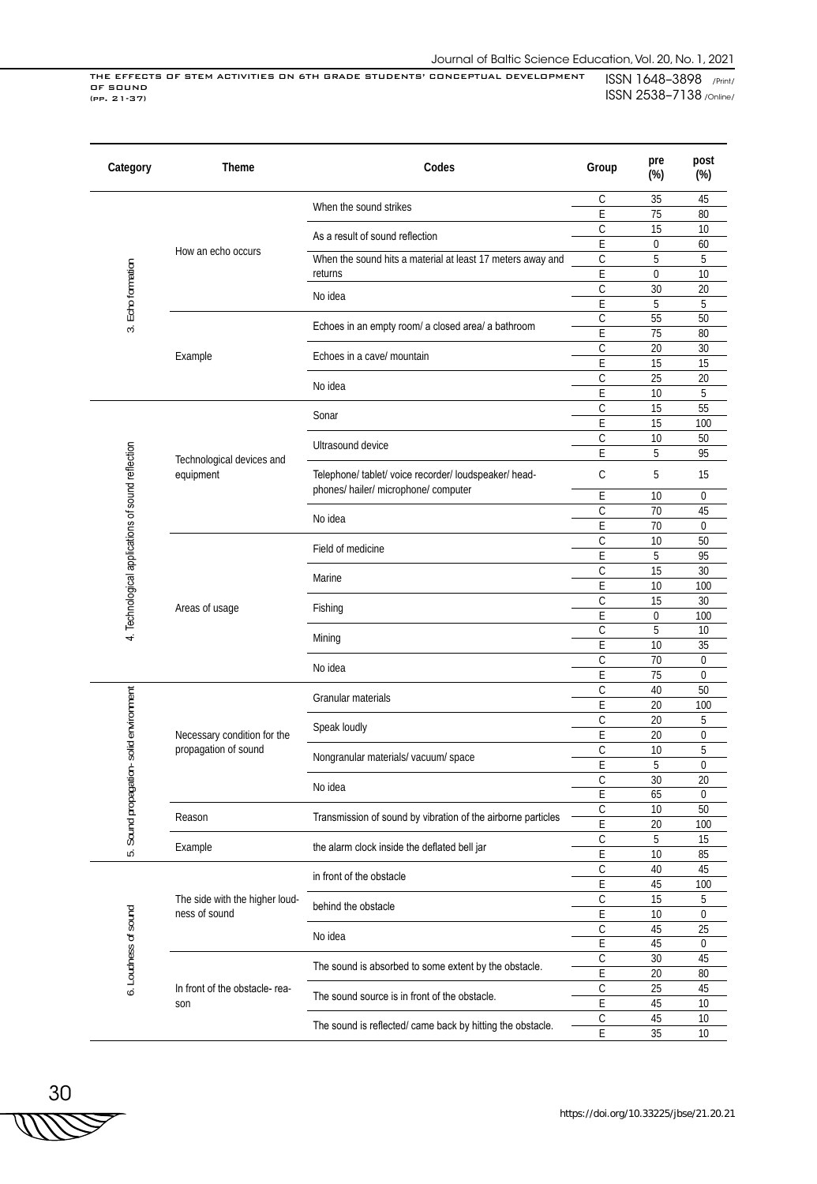| Category                                          | Theme                          | Codes                                                                                         | Group             | pre<br>$(\%)$  | post<br>$(\%)$ |
|---------------------------------------------------|--------------------------------|-----------------------------------------------------------------------------------------------|-------------------|----------------|----------------|
|                                                   |                                | When the sound strikes                                                                        | C                 | 35             | 45             |
|                                                   | How an echo occurs             |                                                                                               | E                 | 75             | 80             |
|                                                   |                                | As a result of sound reflection                                                               | C                 | 15             | 10             |
|                                                   |                                |                                                                                               | E<br>$\mathsf C$  | 0<br>5         | 60<br>5        |
| Echo formation                                    |                                | When the sound hits a material at least 17 meters away and<br>returns                         | E                 | 0              | 10             |
|                                                   |                                |                                                                                               | $\mathcal{C}$     | 30             | 20             |
|                                                   |                                | No idea                                                                                       | E                 | 5              | 5              |
|                                                   |                                |                                                                                               | $\mathsf C$       | 55             | 50             |
| $\vec{S}$                                         |                                | Echoes in an empty room/ a closed area/ a bathroom                                            | E                 | 75             | 80             |
|                                                   | Example                        | Echoes in a cave/ mountain                                                                    | $\mathsf{C}$      | 20             | 30             |
|                                                   |                                |                                                                                               | E                 | 15             | 15             |
|                                                   |                                | No idea                                                                                       | C                 | 25             | 20             |
|                                                   |                                |                                                                                               | E                 | 10             | 5              |
|                                                   |                                | Sonar                                                                                         | $\mathsf{C}$      | 15             | 55             |
|                                                   |                                |                                                                                               | E                 | 15             | 100            |
|                                                   |                                | Ultrasound device                                                                             | C                 | 10             | 50             |
|                                                   | Technological devices and      |                                                                                               | E                 | 5              | 95             |
|                                                   | equipment                      | Telephone/ tablet/ voice recorder/ loudspeaker/ head-<br>phones/ hailer/ microphone/ computer | C                 | 5              | 15             |
|                                                   |                                |                                                                                               | E                 | 10             | 0              |
|                                                   |                                | No idea                                                                                       | $\mathsf{C}$      | 70             | 45             |
|                                                   |                                |                                                                                               | E                 | 70             | $\overline{0}$ |
|                                                   |                                | Field of medicine                                                                             | C                 | 10             | 50             |
| 4. Technological applications of sound reflection |                                |                                                                                               | E<br>$\mathsf{C}$ | 5              | 95<br>30       |
|                                                   | Areas of usage                 | Marine                                                                                        | E                 | 15<br>10       | 100            |
|                                                   |                                | Fishing                                                                                       | C                 | 15             | 30             |
|                                                   |                                |                                                                                               | E                 | $\overline{0}$ | 100            |
|                                                   |                                | Mining                                                                                        | $\mathsf C$       | 5              | 10             |
|                                                   |                                |                                                                                               | E                 | 10             | 35             |
|                                                   |                                | No idea                                                                                       | $\mathsf C$       | 70             | $\overline{0}$ |
|                                                   |                                |                                                                                               | E                 | 75             | $\overline{0}$ |
|                                                   |                                |                                                                                               | $\mathsf C$       | 40             | 50             |
|                                                   |                                | Granular materials                                                                            | E                 | 20             | 100            |
|                                                   |                                | Speak loudly                                                                                  | $\mathsf C$       | 20             | 5              |
|                                                   | Necessary condition for the    |                                                                                               | E                 | 20             | $\mathbf 0$    |
|                                                   | propagation of sound           | Nongranular materials/ vacuum/ space                                                          | C                 | 10             | 5              |
|                                                   |                                |                                                                                               | E                 | 5              | 0              |
|                                                   |                                | No idea                                                                                       | $\mathcal{C}$     | 30             | 20             |
|                                                   |                                |                                                                                               | F                 | 65             | 0              |
| Sound propagation-solid environment               | Reason                         | Transmission of sound by vibration of the airborne particles                                  | C<br>E            | 10             | 50             |
|                                                   |                                |                                                                                               | $\overline{C}$    | 20<br>5        | 100<br>15      |
| ιó.                                               | Example                        | the alarm clock inside the deflated bell jar                                                  | E                 | 10             | 85             |
|                                                   |                                |                                                                                               | $\mathsf C$       | 40             | 45             |
|                                                   |                                | in front of the obstacle                                                                      | E                 | 45             | 100            |
|                                                   | The side with the higher loud- |                                                                                               | $\mathsf C$       | 15             | 5              |
|                                                   | ness of sound                  | behind the obstacle                                                                           | E                 | 10             | 0              |
| 6. Loudness of sound                              |                                |                                                                                               | $\mathbb C$       | 45             | 25             |
|                                                   |                                | No idea                                                                                       | $\mathsf E$       | 45             | 0              |
|                                                   |                                |                                                                                               | $\overline{C}$    | 30             | 45             |
|                                                   |                                | The sound is absorbed to some extent by the obstacle.                                         | E                 | 20             | 80             |
|                                                   | In front of the obstacle-rea-  | The sound source is in front of the obstacle.                                                 | $\mathsf C$       | 25             | 45             |
|                                                   | son                            |                                                                                               | $\mathsf E$       | 45             | 10             |
|                                                   |                                | The sound is reflected/ came back by hitting the obstacle.                                    | $\mathsf C$       | 45             | 10             |
|                                                   |                                | $\overline{E}$                                                                                | 35                | 10             |                |

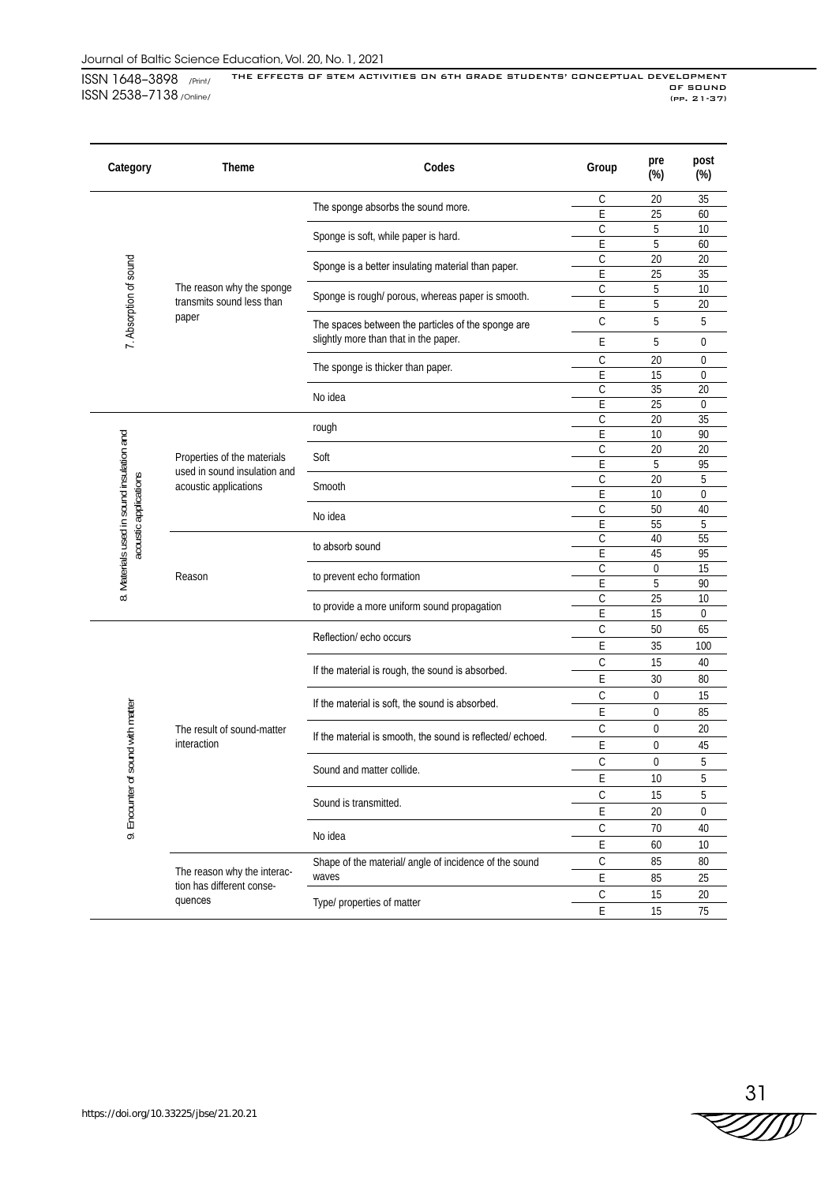| Category                          | <b>Theme</b>                                                                             | Codes                                                                                       | Group         | pre<br>$(\%)$    | post<br>$(\%)$    |
|-----------------------------------|------------------------------------------------------------------------------------------|---------------------------------------------------------------------------------------------|---------------|------------------|-------------------|
|                                   |                                                                                          | The sponge absorbs the sound more.                                                          | C             | 20               | 35                |
|                                   |                                                                                          |                                                                                             | E             | 25               | 60                |
|                                   |                                                                                          | Sponge is soft, while paper is hard.                                                        | С             | 5                | 10                |
|                                   |                                                                                          |                                                                                             | E             | 5                | 60                |
|                                   |                                                                                          | Sponge is a better insulating material than paper.                                          | С             | 20               | 20                |
|                                   | The reason why the sponge                                                                |                                                                                             | E             | 25<br>5          | 35<br>10          |
|                                   | transmits sound less than                                                                | Sponge is rough/ porous, whereas paper is smooth.                                           | С<br>E        | 5                | 20                |
|                                   | paper                                                                                    |                                                                                             |               |                  |                   |
| 7. Absorption of sound            |                                                                                          | The spaces between the particles of the sponge are<br>slightly more than that in the paper. | $\mathcal{C}$ | 5                | 5                 |
|                                   |                                                                                          |                                                                                             | E             | 5                | 0                 |
|                                   |                                                                                          | The sponge is thicker than paper.                                                           | C             | 20               | 0                 |
|                                   |                                                                                          |                                                                                             | E<br>C        | 15<br>35         | 0<br>20           |
|                                   |                                                                                          | No idea                                                                                     | E             | 25               | $\mathbf 0$       |
|                                   |                                                                                          |                                                                                             | C             | 20               | 35                |
|                                   |                                                                                          | rough                                                                                       | E             | 10               | 90                |
|                                   |                                                                                          |                                                                                             | C             | 20               | 20                |
|                                   | Properties of the materials                                                              | Soft                                                                                        | E             | 5                | 95                |
|                                   | used in sound insulation and                                                             | Smooth                                                                                      | С             | 20               | 5                 |
|                                   | Materials used in sound insulation and<br>acoustic applications<br>acoustic applications |                                                                                             | E             | 10               | 0                 |
|                                   |                                                                                          | No idea                                                                                     | C             | 50               | 40                |
|                                   |                                                                                          |                                                                                             | E             | 55               | 5                 |
|                                   |                                                                                          | to absorb sound                                                                             | С             | 40               | 55                |
|                                   |                                                                                          |                                                                                             | E             | 45               | 95                |
|                                   | Reason                                                                                   | to prevent echo formation                                                                   | C             | $\boldsymbol{0}$ | 15                |
| $\infty$                          |                                                                                          | to provide a more uniform sound propagation                                                 | E             | 5                | 90                |
|                                   |                                                                                          |                                                                                             | C<br>E        | 25<br>15         | 10<br>$\mathbf 0$ |
|                                   |                                                                                          | Reflection/ echo occurs                                                                     | C             | 50               | 65                |
|                                   |                                                                                          |                                                                                             | E             | 35               | 100               |
|                                   |                                                                                          |                                                                                             | C             | 15               | 40                |
|                                   |                                                                                          | If the material is rough, the sound is absorbed.                                            | Ε             |                  |                   |
|                                   |                                                                                          |                                                                                             |               | 30               | 80                |
|                                   |                                                                                          | If the material is soft, the sound is absorbed.                                             | C             | 0                | 15                |
|                                   |                                                                                          |                                                                                             | E             | 0                | 85                |
|                                   | The result of sound-matter<br>interaction                                                | If the material is smooth, the sound is reflected/echoed.                                   | C<br>E        | 0<br>0           | 20<br>45          |
|                                   |                                                                                          |                                                                                             | $\mathsf C$   | 0                | 5                 |
| 9. Encounter of sound with matter |                                                                                          | Sound and matter collide.                                                                   | E             | 10               | 5                 |
|                                   |                                                                                          |                                                                                             | С             | 15               | 5                 |
|                                   |                                                                                          | Sound is transmitted.                                                                       | E             | 20               | 0                 |
|                                   |                                                                                          |                                                                                             |               | 70               |                   |
|                                   |                                                                                          | No idea                                                                                     | C             |                  | 40                |
|                                   |                                                                                          |                                                                                             | E             | 60               | 10                |
|                                   | The reason why the interac-                                                              | Shape of the material/ angle of incidence of the sound                                      | $\mathsf C$   | 85               | 80                |
|                                   | tion has different conse-                                                                | waves                                                                                       | Ε             | 85               | 25                |
|                                   | quences                                                                                  | Type/ properties of matter                                                                  | C             | 15               | 20                |
|                                   |                                                                                          | E                                                                                           | 15            | 75               |                   |

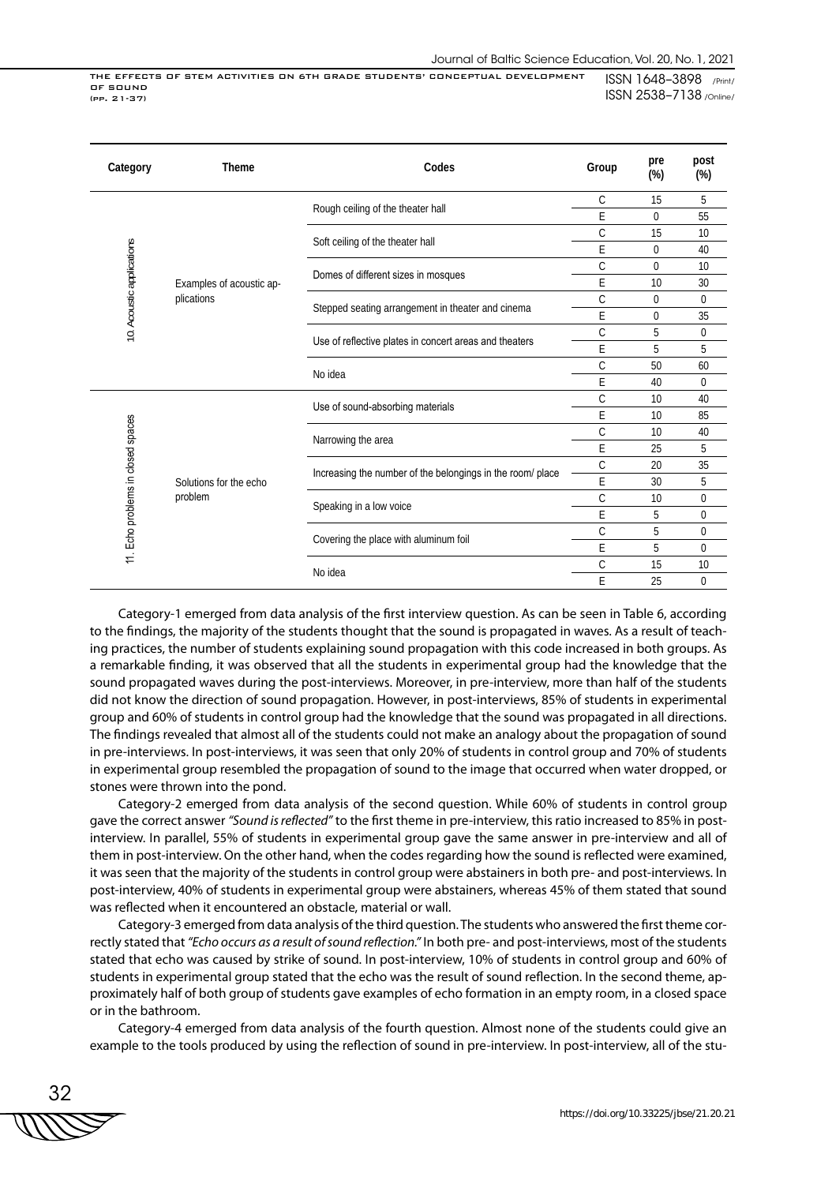| Category                           | <b>Theme</b>             | Codes                                                      | Group        | pre<br>$(\%)$ | post<br>$(\%)$ |
|------------------------------------|--------------------------|------------------------------------------------------------|--------------|---------------|----------------|
|                                    |                          |                                                            | C            | 15            | 5              |
|                                    |                          | Rough ceiling of the theater hall                          | E            | 0             | 55             |
|                                    |                          |                                                            | C            | 15            | 10             |
|                                    |                          | Soft ceiling of the theater hall                           | E            | 0             | 40             |
|                                    |                          | Domes of different sizes in mosques                        | С            | 0             | 10             |
|                                    | Examples of acoustic ap- |                                                            | Ε            | 10            | 30             |
|                                    | plications               | Stepped seating arrangement in theater and cinema          | $\mathsf{C}$ | 0             | 0              |
| 10. Acoustic applications          |                          | E                                                          | 0            | 35            |                |
|                                    |                          | Use of reflective plates in concert areas and theaters     | C            | 5             | 0              |
|                                    |                          |                                                            | E            | 5             | 5              |
|                                    |                          | No idea                                                    | C            | 50            | 60             |
|                                    |                          |                                                            | E            | 40            | $\Omega$       |
|                                    |                          | Use of sound-absorbing materials                           | C            | 10            | 40             |
|                                    |                          |                                                            | E            | 10            | 85             |
|                                    |                          | Narrowing the area                                         | $\mathsf{C}$ | 10            | 40             |
|                                    |                          |                                                            | E            | 25            | 5              |
|                                    |                          | Increasing the number of the belongings in the room/ place | C            | 20            | 35             |
|                                    | Solutions for the echo   |                                                            | E            | 30            | 5              |
| 11. Echo problems in closed spaces | problem                  | Speaking in a low voice                                    | C            | 10            | 0              |
|                                    |                          |                                                            | E            | 5             | 0              |
|                                    |                          | Covering the place with aluminum foil                      | C            | 5             | 0              |
|                                    |                          |                                                            | E            | 5             | $\Omega$       |
|                                    |                          | No idea                                                    | C            | 15            | 10             |
|                                    |                          |                                                            | Ε            | 25            | 0              |

Category-1 emerged from data analysis of the first interview question. As can be seen in Table 6, according to the findings, the majority of the students thought that the sound is propagated in waves. As a result of teaching practices, the number of students explaining sound propagation with this code increased in both groups. As a remarkable finding, it was observed that all the students in experimental group had the knowledge that the sound propagated waves during the post-interviews. Moreover, in pre-interview, more than half of the students did not know the direction of sound propagation. However, in post-interviews, 85% of students in experimental group and 60% of students in control group had the knowledge that the sound was propagated in all directions. The findings revealed that almost all of the students could not make an analogy about the propagation of sound in pre-interviews. In post-interviews, it was seen that only 20% of students in control group and 70% of students in experimental group resembled the propagation of sound to the image that occurred when water dropped, or stones were thrown into the pond.

Category-2 emerged from data analysis of the second question. While 60% of students in control group gave the correct answer *"Sound is reflected"* to the first theme in pre-interview, this ratio increased to 85% in postinterview. In parallel, 55% of students in experimental group gave the same answer in pre-interview and all of them in post-interview. On the other hand, when the codes regarding how the sound is reflected were examined, it was seen that the majority of the students in control group were abstainers in both pre- and post-interviews. In post-interview, 40% of students in experimental group were abstainers, whereas 45% of them stated that sound was reflected when it encountered an obstacle, material or wall.

Category-3 emerged from data analysis of the third question. The students who answered the first theme correctly stated that *"Echo occurs as a result of sound reflection."* In both pre- and post-interviews, most of the students stated that echo was caused by strike of sound. In post-interview, 10% of students in control group and 60% of students in experimental group stated that the echo was the result of sound reflection. In the second theme, approximately half of both group of students gave examples of echo formation in an empty room, in a closed space or in the bathroom.

Category-4 emerged from data analysis of the fourth question. Almost none of the students could give an example to the tools produced by using the reflection of sound in pre-interview. In post-interview, all of the stu-

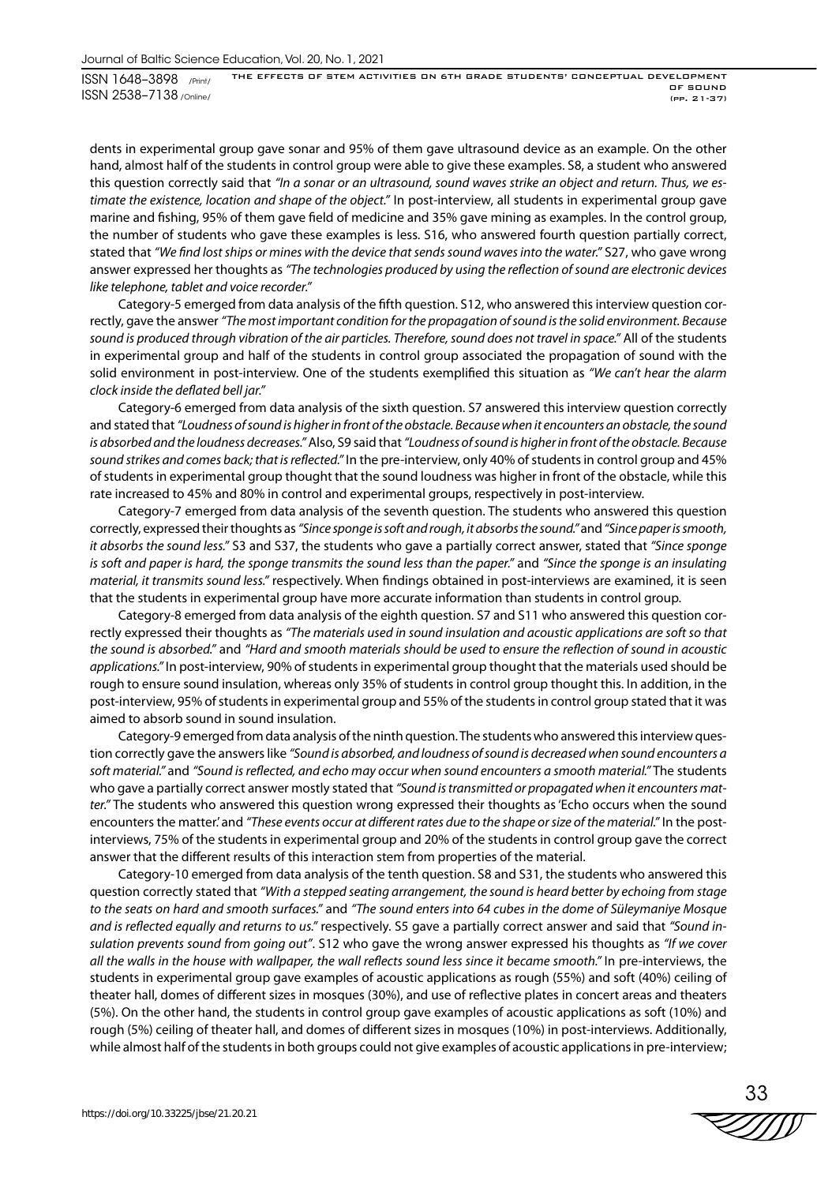dents in experimental group gave sonar and 95% of them gave ultrasound device as an example. On the other hand, almost half of the students in control group were able to give these examples. S8, a student who answered this question correctly said that *"In a sonar or an ultrasound, sound waves strike an object and return. Thus, we estimate the existence, location and shape of the object."* In post-interview, all students in experimental group gave marine and fishing, 95% of them gave field of medicine and 35% gave mining as examples. In the control group, the number of students who gave these examples is less. S16, who answered fourth question partially correct, stated that *"We find lost ships or mines with the device that sends sound waves into the water."* S27, who gave wrong answer expressed her thoughts as *"The technologies produced by using the reflection of sound are electronic devices like telephone, tablet and voice recorder."*

Category-5 emerged from data analysis of the fifth question. S12, who answered this interview question correctly, gave the answer *"The most important condition for the propagation of sound is the solid environment. Because sound is produced through vibration of the air particles. Therefore, sound does not travel in space."* All of the students in experimental group and half of the students in control group associated the propagation of sound with the solid environment in post-interview. One of the students exemplified this situation as *"We can't hear the alarm clock inside the deflated bell jar."*

Category-6 emerged from data analysis of the sixth question. S7 answered this interview question correctly and stated that *"Loudness of sound is higher in front of the obstacle. Because when it encounters an obstacle, the sound is absorbed and the loudness decreases."* Also, S9 said that *"Loudness of sound is higher in front of the obstacle. Because sound strikes and comes back; that is reflected."* In the pre-interview, only 40% of students in control group and 45% of students in experimental group thought that the sound loudness was higher in front of the obstacle, while this rate increased to 45% and 80% in control and experimental groups, respectively in post-interview.

Category-7 emerged from data analysis of the seventh question. The students who answered this question correctly, expressed their thoughts as *"Since sponge is soft and rough, it absorbs the sound."* and *"Since paper is smooth, it absorbs the sound less."* S3 and S37, the students who gave a partially correct answer, stated that *"Since sponge is soft and paper is hard, the sponge transmits the sound less than the paper."* and *"Since the sponge is an insulating material, it transmits sound less."* respectively. When findings obtained in post-interviews are examined, it is seen that the students in experimental group have more accurate information than students in control group.

Category-8 emerged from data analysis of the eighth question. S7 and S11 who answered this question correctly expressed their thoughts as *"The materials used in sound insulation and acoustic applications are soft so that the sound is absorbed."* and *"Hard and smooth materials should be used to ensure the reflection of sound in acoustic applications."* In post-interview, 90% of students in experimental group thought that the materials used should be rough to ensure sound insulation, whereas only 35% of students in control group thought this. In addition, in the post-interview, 95% of students in experimental group and 55% of the students in control group stated that it was aimed to absorb sound in sound insulation.

Category-9 emerged from data analysis of the ninth question. The students who answered this interview question correctly gave the answers like *"Sound is absorbed, and loudness of sound is decreased when sound encounters a soft material."* and *"Sound is reflected, and echo may occur when sound encounters a smooth material."* The students who gave a partially correct answer mostly stated that *"Sound is transmitted or propagated when it encounters matter."* The students who answered this question wrong expressed their thoughts as 'Echo occurs when the sound encounters the matter.' and *"These events occur at different rates due to the shape or size of the material."* In the postinterviews, 75% of the students in experimental group and 20% of the students in control group gave the correct answer that the different results of this interaction stem from properties of the material.

Category-10 emerged from data analysis of the tenth question. S8 and S31, the students who answered this question correctly stated that *"With a stepped seating arrangement, the sound is heard better by echoing from stage to the seats on hard and smooth surfaces."* and *"The sound enters into 64 cubes in the dome of Süleymaniye Mosque and is reflected equally and returns to us."* respectively. S5 gave a partially correct answer and said that *"Sound insulation prevents sound from going out"*. S12 who gave the wrong answer expressed his thoughts as *"If we cover all the walls in the house with wallpaper, the wall reflects sound less since it became smooth."* In pre-interviews, the students in experimental group gave examples of acoustic applications as rough (55%) and soft (40%) ceiling of theater hall, domes of different sizes in mosques (30%), and use of reflective plates in concert areas and theaters (5%). On the other hand, the students in control group gave examples of acoustic applications as soft (10%) and rough (5%) ceiling of theater hall, and domes of different sizes in mosques (10%) in post-interviews. Additionally, while almost half of the students in both groups could not give examples of acoustic applications in pre-interview;

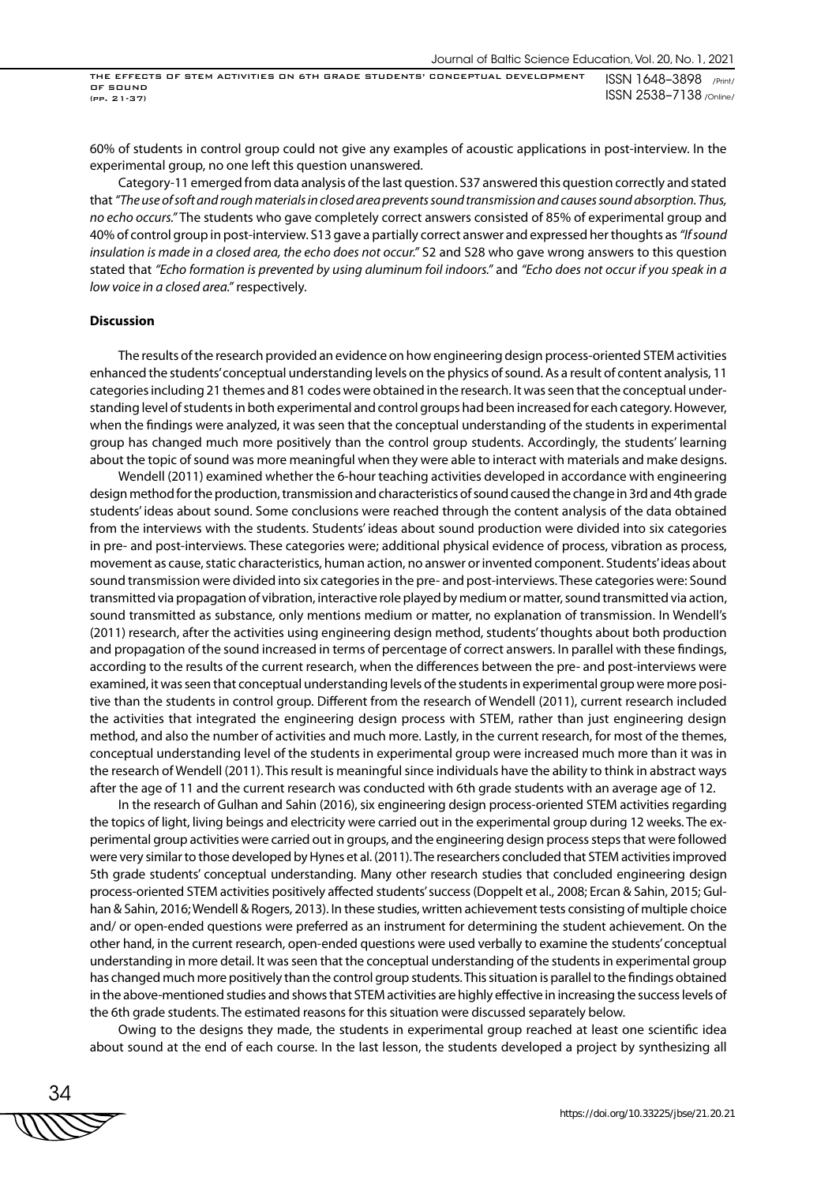60% of students in control group could not give any examples of acoustic applications in post-interview. In the experimental group, no one left this question unanswered.

Category-11 emerged from data analysis of the last question. S37 answered this question correctly and stated that *"The use of soft and rough materials in closed area prevents sound transmission and causes sound absorption. Thus, no echo occurs."* The students who gave completely correct answers consisted of 85% of experimental group and 40% of control group in post-interview. S13 gave a partially correct answer and expressed her thoughts as *"If sound insulation is made in a closed area, the echo does not occur."* S2 and S28 who gave wrong answers to this question stated that *"Echo formation is prevented by using aluminum foil indoors."* and *"Echo does not occur if you speak in a low voice in a closed area."* respectively.

#### **Discussion**

The results of the research provided an evidence on how engineering design process-oriented STEM activities enhanced the students' conceptual understanding levels on the physics of sound. As a result of content analysis, 11 categories including 21 themes and 81 codes were obtained in the research. It was seen that the conceptual understanding level of students in both experimental and control groups had been increased for each category. However, when the findings were analyzed, it was seen that the conceptual understanding of the students in experimental group has changed much more positively than the control group students. Accordingly, the students' learning about the topic of sound was more meaningful when they were able to interact with materials and make designs.

Wendell (2011) examined whether the 6-hour teaching activities developed in accordance with engineering design method for the production, transmission and characteristics of sound caused the change in 3rd and 4th grade students' ideas about sound. Some conclusions were reached through the content analysis of the data obtained from the interviews with the students. Students' ideas about sound production were divided into six categories in pre- and post-interviews. These categories were; additional physical evidence of process, vibration as process, movement as cause, static characteristics, human action, no answer or invented component. Students' ideas about sound transmission were divided into six categories in the pre- and post-interviews. These categories were: Sound transmitted via propagation of vibration, interactive role played by medium or matter, sound transmitted via action, sound transmitted as substance, only mentions medium or matter, no explanation of transmission. In Wendell's (2011) research, after the activities using engineering design method, students' thoughts about both production and propagation of the sound increased in terms of percentage of correct answers. In parallel with these findings, according to the results of the current research, when the differences between the pre- and post-interviews were examined, it was seen that conceptual understanding levels of the students in experimental group were more positive than the students in control group. Different from the research of Wendell (2011), current research included the activities that integrated the engineering design process with STEM, rather than just engineering design method, and also the number of activities and much more. Lastly, in the current research, for most of the themes, conceptual understanding level of the students in experimental group were increased much more than it was in the research of Wendell (2011). This result is meaningful since individuals have the ability to think in abstract ways after the age of 11 and the current research was conducted with 6th grade students with an average age of 12.

In the research of Gulhan and Sahin (2016), six engineering design process-oriented STEM activities regarding the topics of light, living beings and electricity were carried out in the experimental group during 12 weeks. The experimental group activities were carried out in groups, and the engineering design process steps that were followed were very similar to those developed by Hynes et al. (2011). The researchers concluded that STEM activities improved 5th grade students' conceptual understanding. Many other research studies that concluded engineering design process-oriented STEM activities positively affected students' success (Doppelt et al., 2008; Ercan & Sahin, 2015; Gulhan & Sahin, 2016; Wendell & Rogers, 2013). In these studies, written achievement tests consisting of multiple choice and/ or open-ended questions were preferred as an instrument for determining the student achievement. On the other hand, in the current research, open-ended questions were used verbally to examine the students' conceptual understanding in more detail. It was seen that the conceptual understanding of the students in experimental group has changed much more positively than the control group students. This situation is parallel to the findings obtained in the above-mentioned studies and shows that STEM activities are highly effective in increasing the success levels of the 6th grade students. The estimated reasons for this situation were discussed separately below.

Owing to the designs they made, the students in experimental group reached at least one scientific idea about sound at the end of each course. In the last lesson, the students developed a project by synthesizing all

34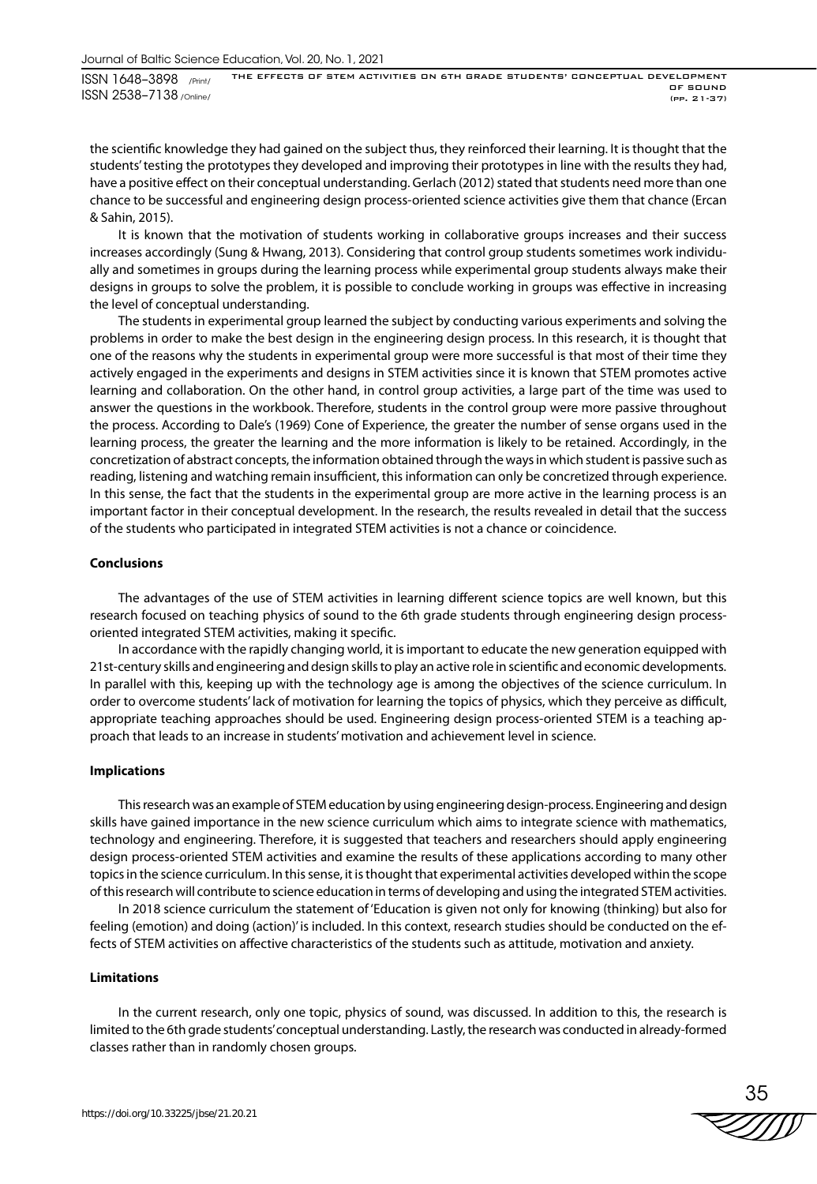Journal of Baltic Science Education, Vol. 20, No. 1, 2021

ISSN 1648–3898 /Print/ ISSN 2538–7138 /Online/ THE EFFECTS OF STEM ACTIVITIES ON 6TH GRADE STUDENTS' CONCEPTUAL DEVELOPMENT OF SOUND (pp. 21-37)

the scientific knowledge they had gained on the subject thus, they reinforced their learning. It is thought that the students' testing the prototypes they developed and improving their prototypes in line with the results they had, have a positive effect on their conceptual understanding. Gerlach (2012) stated that students need more than one chance to be successful and engineering design process-oriented science activities give them that chance (Ercan & Sahin, 2015).

It is known that the motivation of students working in collaborative groups increases and their success increases accordingly (Sung & Hwang, 2013). Considering that control group students sometimes work individually and sometimes in groups during the learning process while experimental group students always make their designs in groups to solve the problem, it is possible to conclude working in groups was effective in increasing the level of conceptual understanding.

The students in experimental group learned the subject by conducting various experiments and solving the problems in order to make the best design in the engineering design process. In this research, it is thought that one of the reasons why the students in experimental group were more successful is that most of their time they actively engaged in the experiments and designs in STEM activities since it is known that STEM promotes active learning and collaboration. On the other hand, in control group activities, a large part of the time was used to answer the questions in the workbook. Therefore, students in the control group were more passive throughout the process. According to Dale's (1969) Cone of Experience, the greater the number of sense organs used in the learning process, the greater the learning and the more information is likely to be retained. Accordingly, in the concretization of abstract concepts, the information obtained through the ways in which student is passive such as reading, listening and watching remain insufficient, this information can only be concretized through experience. In this sense, the fact that the students in the experimental group are more active in the learning process is an important factor in their conceptual development. In the research, the results revealed in detail that the success of the students who participated in integrated STEM activities is not a chance or coincidence.

## **Conclusions**

The advantages of the use of STEM activities in learning different science topics are well known, but this research focused on teaching physics of sound to the 6th grade students through engineering design processoriented integrated STEM activities, making it specific.

In accordance with the rapidly changing world, it is important to educate the new generation equipped with 21st-century skills and engineering and design skills to play an active role in scientific and economic developments. In parallel with this, keeping up with the technology age is among the objectives of the science curriculum. In order to overcome students' lack of motivation for learning the topics of physics, which they perceive as difficult, appropriate teaching approaches should be used. Engineering design process-oriented STEM is a teaching approach that leads to an increase in students' motivation and achievement level in science.

## **Implications**

This research was an example of STEM education by using engineering design-process. Engineering and design skills have gained importance in the new science curriculum which aims to integrate science with mathematics, technology and engineering. Therefore, it is suggested that teachers and researchers should apply engineering design process-oriented STEM activities and examine the results of these applications according to many other topics in the science curriculum. In this sense, it is thought that experimental activities developed within the scope of this research will contribute to science education in terms of developing and using the integrated STEM activities.

In 2018 science curriculum the statement of 'Education is given not only for knowing (thinking) but also for feeling (emotion) and doing (action)' is included. In this context, research studies should be conducted on the effects of STEM activities on affective characteristics of the students such as attitude, motivation and anxiety.

#### **Limitations**

In the current research, only one topic, physics of sound, was discussed. In addition to this, the research is limited to the 6th grade students' conceptual understanding. Lastly, the research was conducted in already-formed classes rather than in randomly chosen groups.

35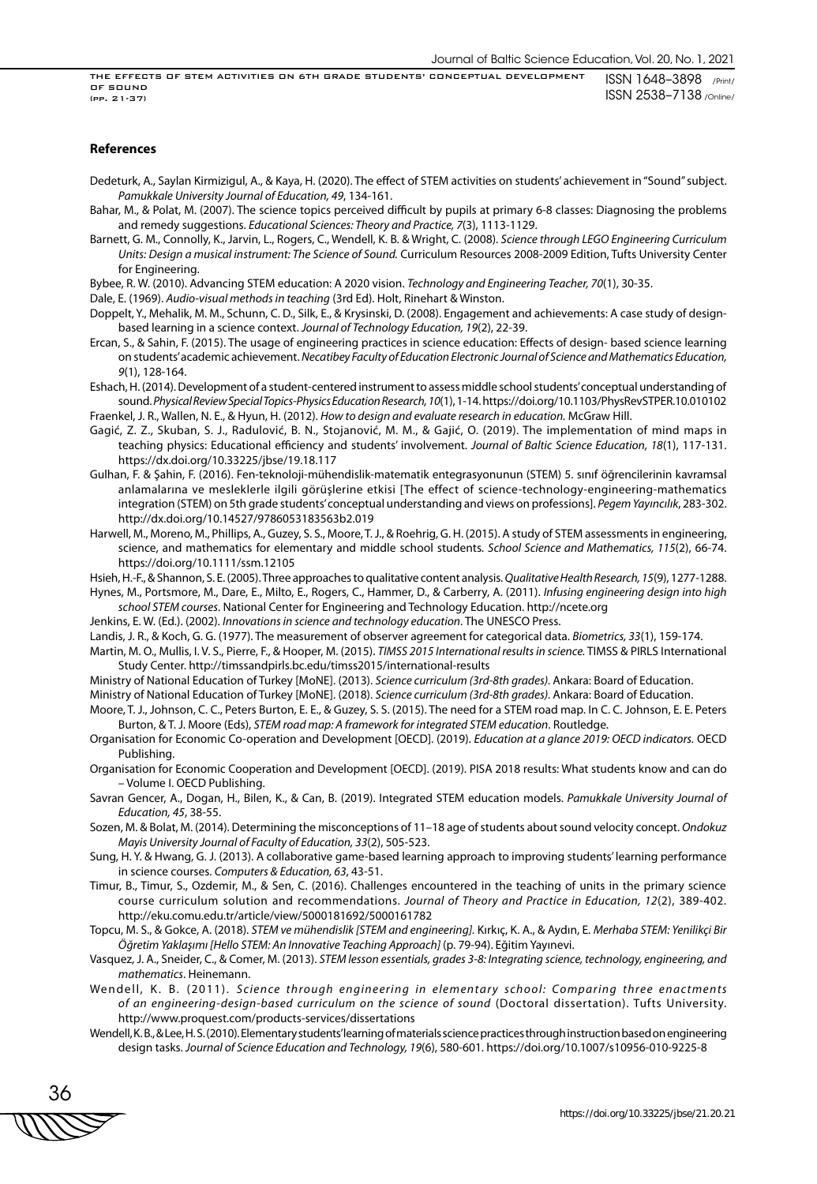#### **References**

Dedeturk, A., Saylan Kirmizigul, A., & Kaya, H. (2020). The effect of STEM activities on students' achievement in "Sound" subject. *Pamukkale University Journal of Education, 49*, 134-161.

- Bahar, M., & Polat, M. (2007). The science topics perceived difficult by pupils at primary 6-8 classes: Diagnosing the problems and remedy suggestions. *Educational Sciences: Theory and Practice, 7*(3), 1113-1129.
- Barnett, G. M., Connolly, K., Jarvin, L., Rogers, C., Wendell, K. B. & Wright, C. (2008). *Science through LEGO Engineering Curriculum Units: Design a musical instrument: The Science of Sound.* Curriculum Resources 2008-2009 Edition, Tufts University Center for Engineering.

Bybee, R. W. (2010). Advancing STEM education: A 2020 vision. *Technology and Engineering Teacher, 70*(1), 30-35.

Dale, E. (1969). *Audio-visual methods in teaching* (3rd Ed). Holt, Rinehart & Winston.

Doppelt, Y., Mehalik, M. M., Schunn, C. D., Silk, E., & Krysinski, D. (2008). Engagement and achievements: A case study of designbased learning in a science context. *Journal of Technology Education, 19*(2), 22-39.

- Ercan, S., & Sahin, F. (2015). The usage of engineering practices in science education: Effects of design- based science learning on students' academic achievement. *Necatibey Faculty of Education Electronic Journal of Science and Mathematics Education, 9*(1), 128-164.
- Eshach, H. (2014). Development of a student-centered instrument to assess middle school students' conceptual understanding of sound. *Physical Review Special Topics-Physics Education Research, 10*(1), 1-14. https://doi.org/10.1103/PhysRevSTPER.10.010102 Fraenkel, J. R., Wallen, N. E., & Hyun, H. (2012). *How to design and evaluate research in education.* McGraw Hill.
- Gagić, Z. Z., Skuban, S. J., Radulović, B. N., Stojanović, M. M., & Gajić, O. (2019). The implementation of mind maps in teaching physics: Educational efficiency and students' involvement. *Journal of Baltic Science Education, 18*(1), 117-131. https://dx.doi.org/10.33225/jbse/19.18.117
- Gulhan, F. & Şahin, F. (2016). Fen-teknoloji-mühendislik-matematik entegrasyonunun (STEM) 5. sınıf öğrencilerinin kavramsal anlamalarına ve mesleklerle ilgili görüşlerine etkisi [The effect of science-technology-engineering-mathematics integration (STEM) on 5th grade students' conceptual understanding and views on professions]. *Pegem Yayıncılık*, 283-302. http://dx.doi.org/10.14527/9786053183563b2.019
- Harwell, M., Moreno, M., Phillips, A., Guzey, S. S., Moore, T. J., & Roehrig, G. H. (2015). A study of STEM assessments in engineering, science, and mathematics for elementary and middle school students. *School Science and Mathematics, 115*(2), 66-74. https://doi.org/10.1111/ssm.12105

Hsieh, H.-F., & Shannon, S. E. (2005). Three approaches to qualitative content analysis. *Qualitative Health Research, 15*(9), 1277-1288.

Hynes, M., Portsmore, M., Dare, E., Milto, E., Rogers, C., Hammer, D., & Carberry, A. (2011). *Infusing engineering design into high school STEM courses*. National Center for Engineering and Technology Education. http://ncete.org

Jenkins, E. W. (Ed.). (2002). *Innovations in science and technology education*. The UNESCO Press.

Landis, J. R., & Koch, G. G. (1977). The measurement of observer agreement for categorical data. *Biometrics, 33*(1), 159-174. Martin, M. O., Mullis, I. V. S., Pierre, F., & Hooper, M. (2015). *TIMSS 2015 International results in science.* TIMSS & PIRLS International

Study Center. http://timssandpirls.bc.edu/timss2015/international-results

Ministry of National Education of Turkey [MoNE]. (2013). *Science curriculum (3rd-8th grades).* Ankara: Board of Education.

- Ministry of National Education of Turkey [MoNE]. (2018). *Science curriculum (3rd-8th grades).* Ankara: Board of Education.
- Moore, T. J., Johnson, C. C., Peters Burton, E. E., & Guzey, S. S. (2015). The need for a STEM road map. In C. C. Johnson, E. E. Peters Burton, & T. J. Moore (Eds), *STEM road map: A framework for integrated STEM education*. Routledge.
- Organisation for Economic Co-operation and Development [OECD]. (2019). *Education at a glance 2019: OECD indicators.* OECD Publishing.
- Organisation for Economic Cooperation and Development [OECD]. (2019). PISA 2018 results: What students know and can do – Volume I. OECD Publishing.
- Savran Gencer, A., Dogan, H., Bilen, K., & Can, B. (2019). Integrated STEM education models. *Pamukkale University Journal of Education, 45*, 38-55.
- Sozen, M. & Bolat, M. (2014). Determining the misconceptions of 11–18 age of students about sound velocity concept. *Ondokuz Mayis University Journal of Faculty of Education, 33*(2), 505-523.
- Sung, H. Y. & Hwang, G. J. (2013). A collaborative game-based learning approach to improving students' learning performance in science courses. *Computers & Education, 63*, 43-51.
- Timur, B., Timur, S., Ozdemir, M., & Sen, C. (2016). Challenges encountered in the teaching of units in the primary science course curriculum solution and recommendations. *Journal of Theory and Practice in Education, 12*(2), 389-402. http://eku.comu.edu.tr/article/view/5000181692/5000161782
- Topcu, M. S., & Gokce, A. (2018). *STEM ve mühendislik [STEM and engineering].* Kırkıç, K. A., & Aydın, E. *Merhaba STEM: Yenilikçi Bir Öğretim Yaklaşımı [Hello STEM: An Innovative Teaching Approach]* (p. 79-94). Eğitim Yayınevi.
- Vasquez, J. A., Sneider, C., & Comer, M. (2013). *STEM lesson essentials, grades 3-8: Integrating science, technology, engineering, and mathematics*. Heinemann.
- Wendell, K. B. (2011). Science through engineering in elementary school: Comparing three enactments *of an engineering-design-based curriculum on the science of sound* (Doctoral dissertation). Tufts University. http://www.proquest.com/products-services/dissertations
- Wendell, K. B., & Lee, H. S. (2010). Elementary students' learning of materials science practices through instruction based on engineering design tasks. *Journal of Science Education and Technology, 19*(6), 580-601. https://doi.org/10.1007/s10956-010-9225-8

36